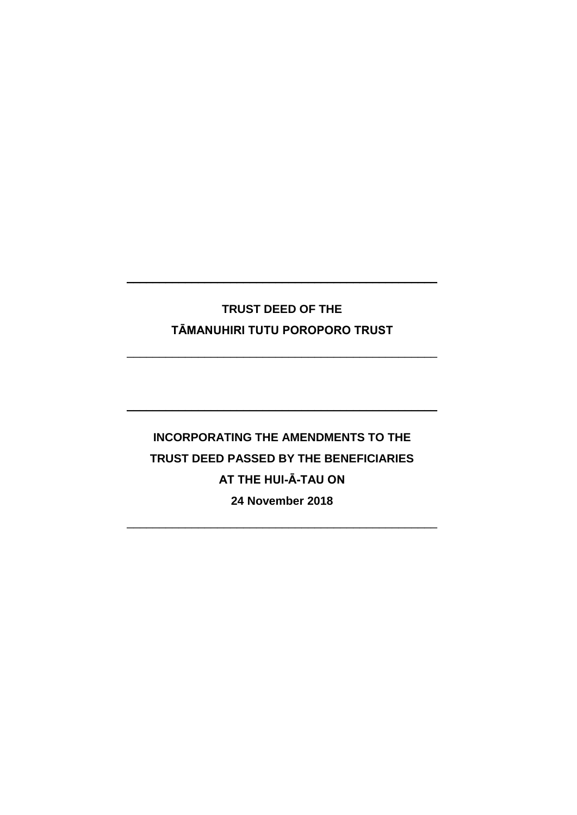# **TRUST DEED OF THE TĀMANUHIRI TUTU POROPORO TRUST**

\_\_\_\_\_\_\_\_\_\_\_\_\_\_\_\_\_\_\_\_\_\_\_\_\_\_\_\_\_\_\_\_\_\_\_\_\_\_\_\_\_\_\_\_\_\_\_\_

\_\_\_\_\_\_\_\_\_\_\_\_\_\_\_\_\_\_\_\_\_\_\_\_\_\_\_\_\_\_\_\_\_\_\_\_\_\_\_\_\_\_\_\_\_\_\_\_

\_\_\_\_\_\_\_\_\_\_\_\_\_\_\_\_\_\_\_\_\_\_\_\_\_\_\_\_\_\_\_\_\_\_\_\_\_\_\_\_\_\_\_\_\_\_\_\_

**INCORPORATING THE AMENDMENTS TO THE TRUST DEED PASSED BY THE BENEFICIARIES AT THE HUI-Ā-TAU ON 24 November 2018** 

 $\_$  , and the set of the set of the set of the set of the set of the set of the set of the set of the set of the set of the set of the set of the set of the set of the set of the set of the set of the set of the set of th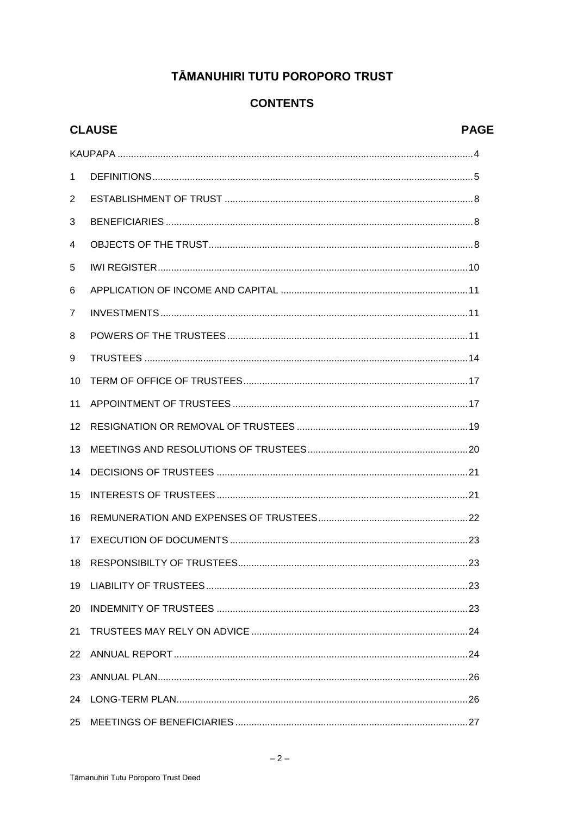# TĀMANUHIRI TUTU POROPORO TRUST

# **CONTENTS**

| <b>CLAUSE</b><br><b>PAGE</b> |  |     |
|------------------------------|--|-----|
|                              |  |     |
| $\mathbf{1}$                 |  |     |
| 2                            |  |     |
| 3                            |  |     |
| 4                            |  |     |
| 5                            |  |     |
| 6                            |  |     |
| $\overline{7}$               |  |     |
| 8                            |  |     |
| 9                            |  |     |
| 10                           |  |     |
| 11                           |  |     |
| 12                           |  |     |
| 13                           |  |     |
| 14                           |  |     |
| 15                           |  |     |
| 16                           |  |     |
| 17                           |  |     |
| 18                           |  |     |
| 19                           |  |     |
| 20                           |  |     |
| 21                           |  |     |
| 22                           |  |     |
| 23                           |  |     |
| 24                           |  |     |
|                              |  | .27 |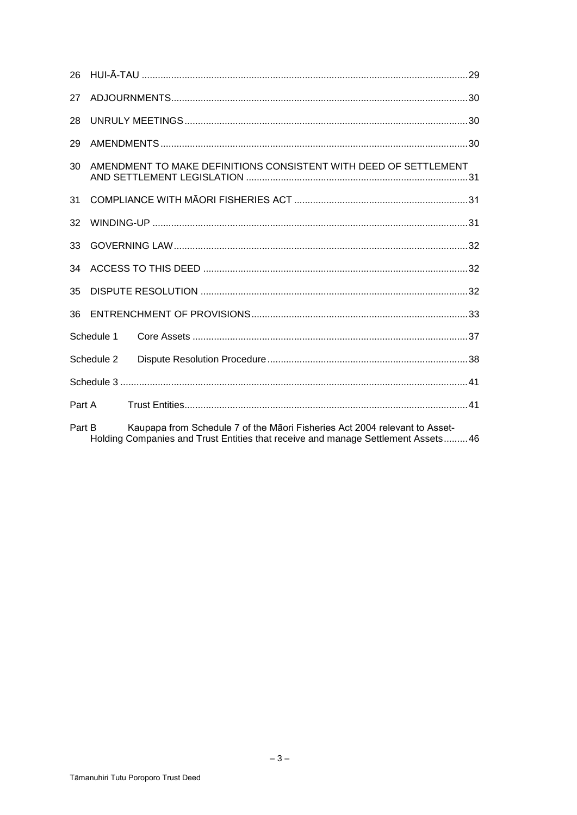| 27                                                                                                                                                                       |            |                                                                  |  |  |
|--------------------------------------------------------------------------------------------------------------------------------------------------------------------------|------------|------------------------------------------------------------------|--|--|
| 28                                                                                                                                                                       |            |                                                                  |  |  |
| 29                                                                                                                                                                       |            |                                                                  |  |  |
| 30                                                                                                                                                                       |            | AMENDMENT TO MAKE DEFINITIONS CONSISTENT WITH DEED OF SETTLEMENT |  |  |
| 31                                                                                                                                                                       |            |                                                                  |  |  |
| 32                                                                                                                                                                       |            |                                                                  |  |  |
| 33                                                                                                                                                                       |            |                                                                  |  |  |
| 34                                                                                                                                                                       |            |                                                                  |  |  |
| 35                                                                                                                                                                       |            |                                                                  |  |  |
| 36                                                                                                                                                                       |            |                                                                  |  |  |
|                                                                                                                                                                          | Schedule 1 |                                                                  |  |  |
|                                                                                                                                                                          | Schedule 2 |                                                                  |  |  |
|                                                                                                                                                                          |            |                                                                  |  |  |
| Part A                                                                                                                                                                   |            |                                                                  |  |  |
| Kaupapa from Schedule 7 of the Māori Fisheries Act 2004 relevant to Asset-<br>Part B<br>Holding Companies and Trust Entities that receive and manage Settlement Assets46 |            |                                                                  |  |  |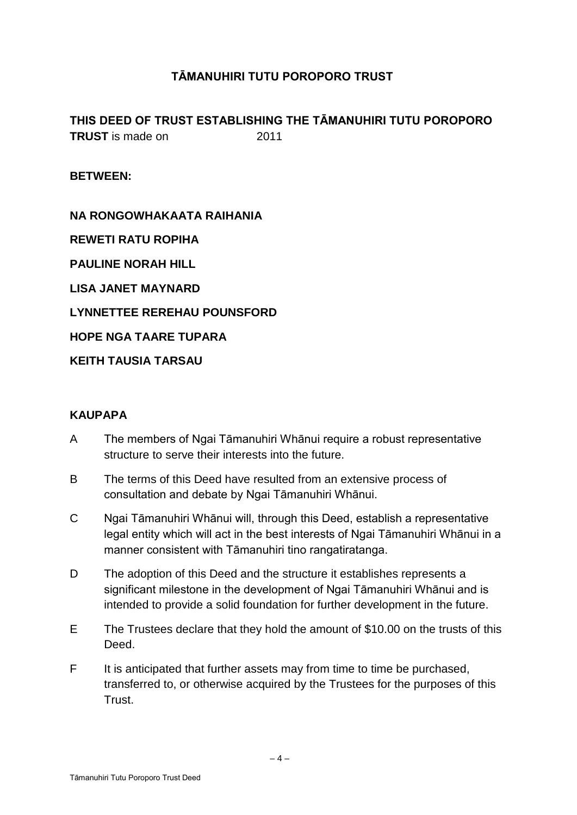# **TĀMANUHIRI TUTU POROPORO TRUST**

**THIS DEED OF TRUST ESTABLISHING THE TĀMANUHIRI TUTU POROPORO TRUST** is made on 2011

**BETWEEN:** 

**NA RONGOWHAKAATA RAIHANIA REWETI RATU ROPIHA PAULINE NORAH HILL LISA JANET MAYNARD LYNNETTEE REREHAU POUNSFORD HOPE NGA TAARE TUPARA KEITH TAUSIA TARSAU** 

## **KAUPAPA**

- A The members of Ngai Tāmanuhiri Whānui require a robust representative structure to serve their interests into the future.
- B The terms of this Deed have resulted from an extensive process of consultation and debate by Ngai Tāmanuhiri Whānui.
- C Ngai Tāmanuhiri Whānui will, through this Deed, establish a representative legal entity which will act in the best interests of Ngai Tāmanuhiri Whānui in a manner consistent with Tāmanuhiri tino rangatiratanga.
- D The adoption of this Deed and the structure it establishes represents a significant milestone in the development of Ngai Tāmanuhiri Whānui and is intended to provide a solid foundation for further development in the future.
- E The Trustees declare that they hold the amount of \$10.00 on the trusts of this Deed.
- F It is anticipated that further assets may from time to time be purchased, transferred to, or otherwise acquired by the Trustees for the purposes of this Trust.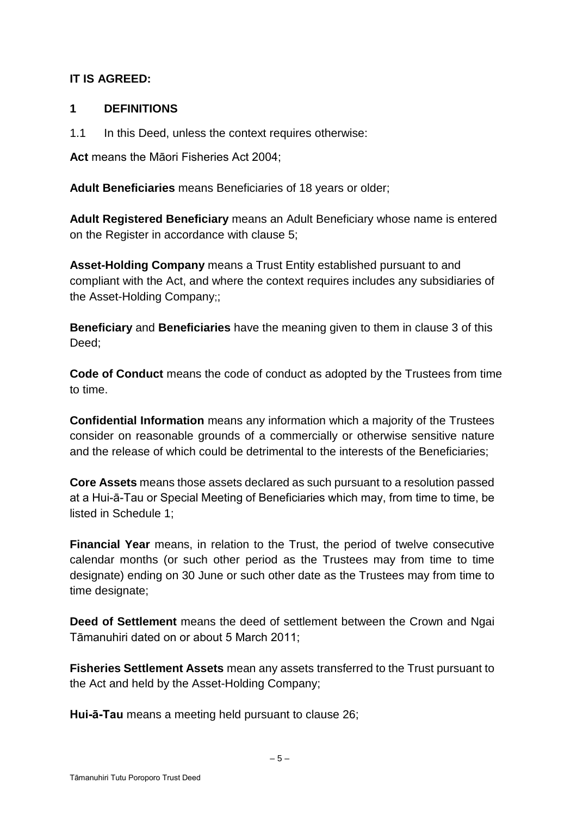# **IT IS AGREED:**

## **1 DEFINITIONS**

1.1 In this Deed, unless the context requires otherwise:

**Act** means the Māori Fisheries Act 2004;

**Adult Beneficiaries** means Beneficiaries of 18 years or older;

**Adult Registered Beneficiary** means an Adult Beneficiary whose name is entered on the Register in accordance with clause 5;

**Asset-Holding Company** means a Trust Entity established pursuant to and compliant with the Act, and where the context requires includes any subsidiaries of the Asset-Holding Company;;

**Beneficiary** and **Beneficiaries** have the meaning given to them in clause 3 of this Deed;

**Code of Conduct** means the code of conduct as adopted by the Trustees from time to time.

**Confidential Information** means any information which a majority of the Trustees consider on reasonable grounds of a commercially or otherwise sensitive nature and the release of which could be detrimental to the interests of the Beneficiaries;

**Core Assets** means those assets declared as such pursuant to a resolution passed at a Hui-ā-Tau or Special Meeting of Beneficiaries which may, from time to time, be listed in Schedule 1;

**Financial Year** means, in relation to the Trust, the period of twelve consecutive calendar months (or such other period as the Trustees may from time to time designate) ending on 30 June or such other date as the Trustees may from time to time designate:

**Deed of Settlement** means the deed of settlement between the Crown and Ngai Tāmanuhiri dated on or about 5 March 2011;

**Fisheries Settlement Assets** mean any assets transferred to the Trust pursuant to the Act and held by the Asset-Holding Company;

**Hui-ā-Tau** means a meeting held pursuant to clause 26;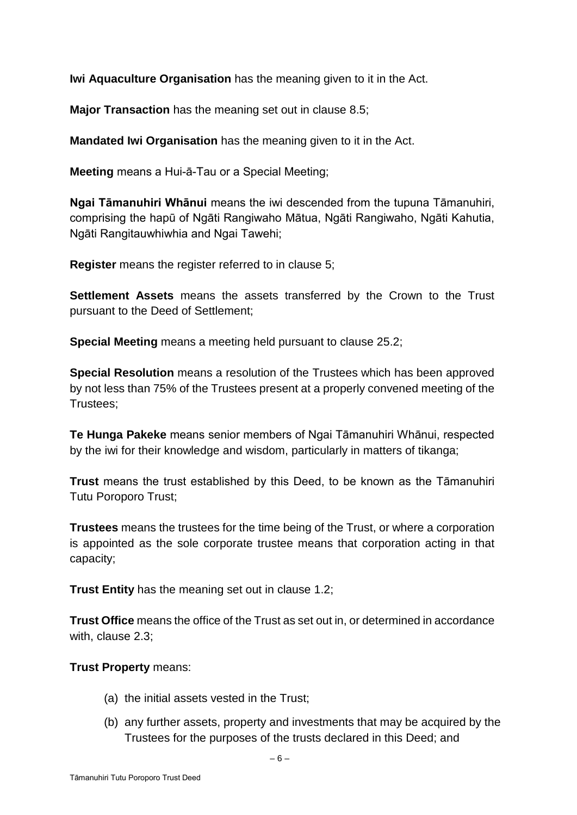**Iwi Aquaculture Organisation** has the meaning given to it in the Act.

**Major Transaction** has the meaning set out in clause 8.5;

**Mandated Iwi Organisation** has the meaning given to it in the Act.

**Meeting** means a Hui-ā-Tau or a Special Meeting;

**Ngai Tāmanuhiri Whānui** means the iwi descended from the tupuna Tāmanuhiri, comprising the hapū of Ngāti Rangiwaho Mātua, Ngāti Rangiwaho, Ngāti Kahutia, Ngāti Rangitauwhiwhia and Ngai Tawehi;

**Register** means the register referred to in clause 5;

**Settlement Assets** means the assets transferred by the Crown to the Trust pursuant to the Deed of Settlement;

**Special Meeting** means a meeting held pursuant to clause 25.2;

**Special Resolution** means a resolution of the Trustees which has been approved by not less than 75% of the Trustees present at a properly convened meeting of the Trustees;

**Te Hunga Pakeke** means senior members of Ngai Tāmanuhiri Whānui, respected by the iwi for their knowledge and wisdom, particularly in matters of tikanga;

**Trust** means the trust established by this Deed, to be known as the Tāmanuhiri Tutu Poroporo Trust;

**Trustees** means the trustees for the time being of the Trust, or where a corporation is appointed as the sole corporate trustee means that corporation acting in that capacity;

**Trust Entity** has the meaning set out in clause 1.2;

**Trust Office** means the office of the Trust as set out in, or determined in accordance with, clause 2.3;

## **Trust Property** means:

- (a) the initial assets vested in the Trust;
- (b) any further assets, property and investments that may be acquired by the Trustees for the purposes of the trusts declared in this Deed; and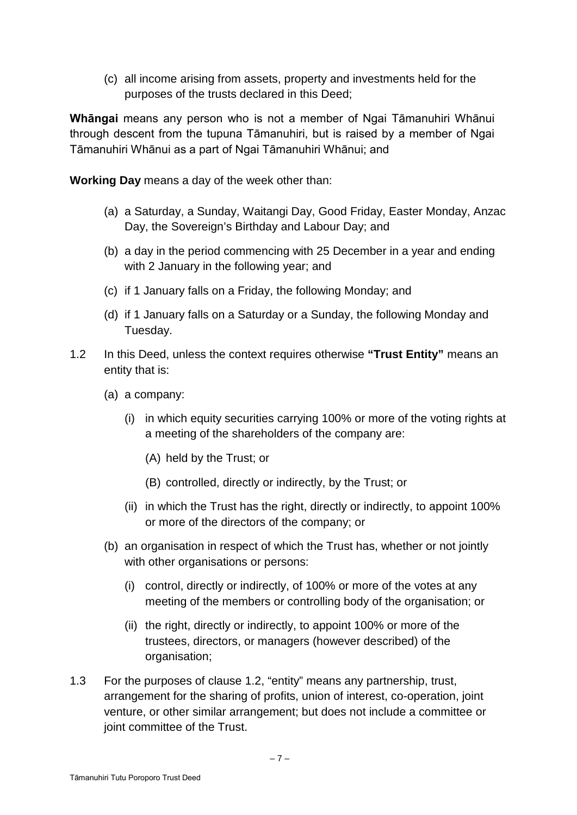(c) all income arising from assets, property and investments held for the purposes of the trusts declared in this Deed;

**Whāngai** means any person who is not a member of Ngai Tāmanuhiri Whānui through descent from the tupuna Tāmanuhiri, but is raised by a member of Ngai Tāmanuhiri Whānui as a part of Ngai Tāmanuhiri Whānui; and

**Working Day** means a day of the week other than:

- (a) a Saturday, a Sunday, Waitangi Day, Good Friday, Easter Monday, Anzac Day, the Sovereign's Birthday and Labour Day; and
- (b) a day in the period commencing with 25 December in a year and ending with 2 January in the following year; and
- (c) if 1 January falls on a Friday, the following Monday; and
- (d) if 1 January falls on a Saturday or a Sunday, the following Monday and Tuesday.
- 1.2 In this Deed, unless the context requires otherwise **"Trust Entity"** means an entity that is:
	- (a) a company:
		- (i) in which equity securities carrying 100% or more of the voting rights at a meeting of the shareholders of the company are:
			- (A) held by the Trust; or
			- (B) controlled, directly or indirectly, by the Trust; or
		- (ii) in which the Trust has the right, directly or indirectly, to appoint 100% or more of the directors of the company; or
	- (b) an organisation in respect of which the Trust has, whether or not jointly with other organisations or persons:
		- (i) control, directly or indirectly, of 100% or more of the votes at any meeting of the members or controlling body of the organisation; or
		- (ii) the right, directly or indirectly, to appoint 100% or more of the trustees, directors, or managers (however described) of the organisation;
- 1.3 For the purposes of clause 1.2, "entity" means any partnership, trust, arrangement for the sharing of profits, union of interest, co-operation, joint venture, or other similar arrangement; but does not include a committee or joint committee of the Trust.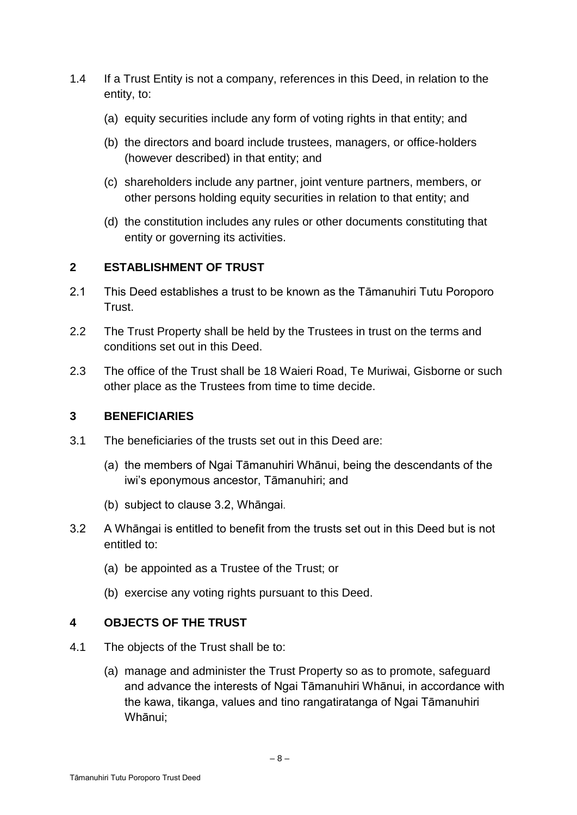- 1.4 If a Trust Entity is not a company, references in this Deed, in relation to the entity, to:
	- (a) equity securities include any form of voting rights in that entity; and
	- (b) the directors and board include trustees, managers, or office-holders (however described) in that entity; and
	- (c) shareholders include any partner, joint venture partners, members, or other persons holding equity securities in relation to that entity; and
	- (d) the constitution includes any rules or other documents constituting that entity or governing its activities.

# **2 ESTABLISHMENT OF TRUST**

- 2.1 This Deed establishes a trust to be known as the Tāmanuhiri Tutu Poroporo Trust.
- 2.2 The Trust Property shall be held by the Trustees in trust on the terms and conditions set out in this Deed.
- 2.3 The office of the Trust shall be 18 Waieri Road, Te Muriwai, Gisborne or such other place as the Trustees from time to time decide.

# **3 BENEFICIARIES**

- 3.1 The beneficiaries of the trusts set out in this Deed are:
	- (a) the members of Ngai Tāmanuhiri Whānui, being the descendants of the iwi's eponymous ancestor, Tāmanuhiri; and
	- (b) subject to clause 3.2, Whāngai.
- 3.2 A Whāngai is entitled to benefit from the trusts set out in this Deed but is not entitled to:
	- (a) be appointed as a Trustee of the Trust; or
	- (b) exercise any voting rights pursuant to this Deed.

# **4 OBJECTS OF THE TRUST**

- 4.1 The objects of the Trust shall be to:
	- (a) manage and administer the Trust Property so as to promote, safeguard and advance the interests of Ngai Tāmanuhiri Whānui, in accordance with the kawa, tikanga, values and tino rangatiratanga of Ngai Tāmanuhiri Whānui;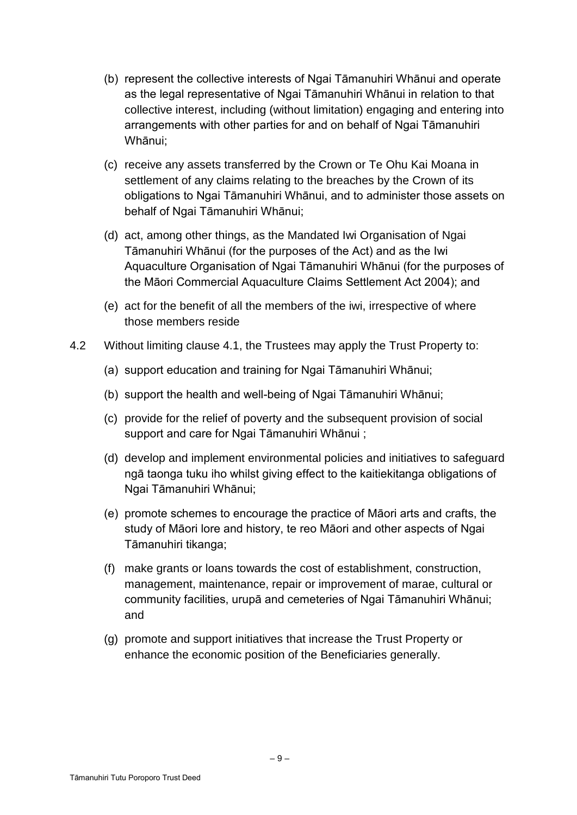- (b) represent the collective interests of Ngai Tāmanuhiri Whānui and operate as the legal representative of Ngai Tāmanuhiri Whānui in relation to that collective interest, including (without limitation) engaging and entering into arrangements with other parties for and on behalf of Ngai Tāmanuhiri Whānui;
- (c) receive any assets transferred by the Crown or Te Ohu Kai Moana in settlement of any claims relating to the breaches by the Crown of its obligations to Ngai Tāmanuhiri Whānui, and to administer those assets on behalf of Ngai Tāmanuhiri Whānui;
- (d) act, among other things, as the Mandated Iwi Organisation of Ngai Tāmanuhiri Whānui (for the purposes of the Act) and as the Iwi Aquaculture Organisation of Ngai Tāmanuhiri Whānui (for the purposes of the Māori Commercial Aquaculture Claims Settlement Act 2004); and
- (e) act for the benefit of all the members of the iwi, irrespective of where those members reside
- 4.2 Without limiting clause 4.1, the Trustees may apply the Trust Property to:
	- (a) support education and training for Ngai Tāmanuhiri Whānui;
	- (b) support the health and well-being of Ngai Tāmanuhiri Whānui;
	- (c) provide for the relief of poverty and the subsequent provision of social support and care for Ngai Tāmanuhiri Whānui ;
	- (d) develop and implement environmental policies and initiatives to safeguard ngā taonga tuku iho whilst giving effect to the kaitiekitanga obligations of Ngai Tāmanuhiri Whānui;
	- (e) promote schemes to encourage the practice of Māori arts and crafts, the study of Māori lore and history, te reo Māori and other aspects of Ngai Tāmanuhiri tikanga;
	- (f) make grants or loans towards the cost of establishment, construction, management, maintenance, repair or improvement of marae, cultural or community facilities, urupā and cemeteries of Ngai Tāmanuhiri Whānui; and
	- (g) promote and support initiatives that increase the Trust Property or enhance the economic position of the Beneficiaries generally.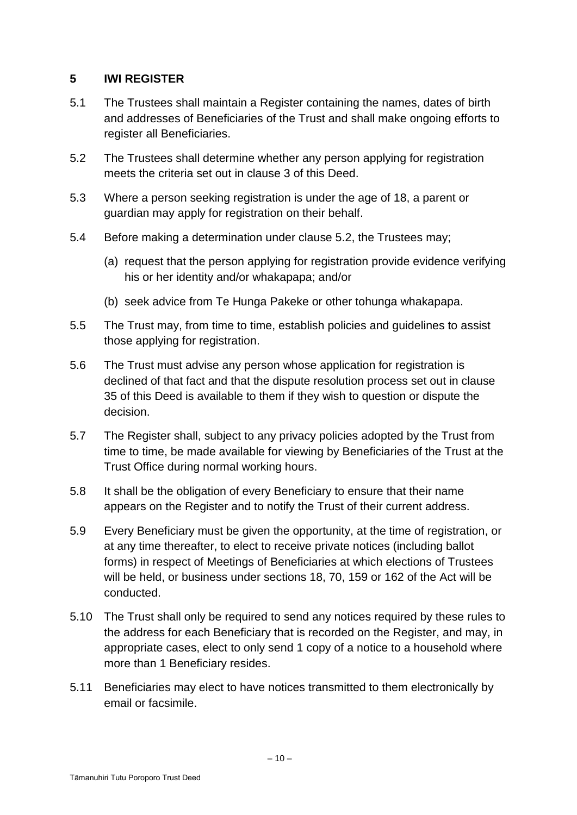# **5 IWI REGISTER**

- 5.1 The Trustees shall maintain a Register containing the names, dates of birth and addresses of Beneficiaries of the Trust and shall make ongoing efforts to register all Beneficiaries.
- 5.2 The Trustees shall determine whether any person applying for registration meets the criteria set out in clause 3 of this Deed.
- 5.3 Where a person seeking registration is under the age of 18, a parent or guardian may apply for registration on their behalf.
- 5.4 Before making a determination under clause 5.2, the Trustees may;
	- (a) request that the person applying for registration provide evidence verifying his or her identity and/or whakapapa; and/or
	- (b) seek advice from Te Hunga Pakeke or other tohunga whakapapa.
- 5.5 The Trust may, from time to time, establish policies and guidelines to assist those applying for registration.
- 5.6 The Trust must advise any person whose application for registration is declined of that fact and that the dispute resolution process set out in clause 35 of this Deed is available to them if they wish to question or dispute the decision.
- 5.7 The Register shall, subject to any privacy policies adopted by the Trust from time to time, be made available for viewing by Beneficiaries of the Trust at the Trust Office during normal working hours.
- 5.8 It shall be the obligation of every Beneficiary to ensure that their name appears on the Register and to notify the Trust of their current address.
- 5.9 Every Beneficiary must be given the opportunity, at the time of registration, or at any time thereafter, to elect to receive private notices (including ballot forms) in respect of Meetings of Beneficiaries at which elections of Trustees will be held, or business under sections 18, 70, 159 or 162 of the Act will be conducted.
- 5.10 The Trust shall only be required to send any notices required by these rules to the address for each Beneficiary that is recorded on the Register, and may, in appropriate cases, elect to only send 1 copy of a notice to a household where more than 1 Beneficiary resides.
- 5.11 Beneficiaries may elect to have notices transmitted to them electronically by email or facsimile.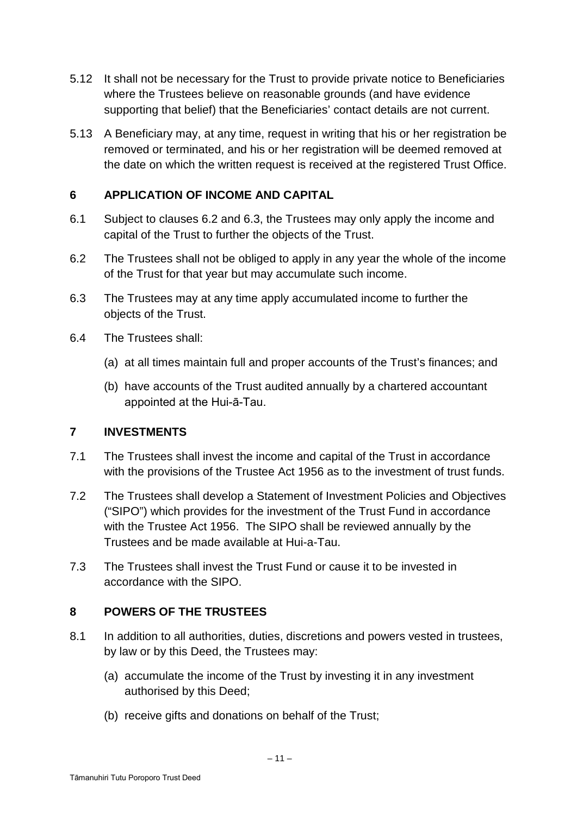- 5.12 It shall not be necessary for the Trust to provide private notice to Beneficiaries where the Trustees believe on reasonable grounds (and have evidence supporting that belief) that the Beneficiaries' contact details are not current.
- 5.13 A Beneficiary may, at any time, request in writing that his or her registration be removed or terminated, and his or her registration will be deemed removed at the date on which the written request is received at the registered Trust Office.

# **6 APPLICATION OF INCOME AND CAPITAL**

- 6.1 Subject to clauses 6.2 and 6.3, the Trustees may only apply the income and capital of the Trust to further the objects of the Trust.
- 6.2 The Trustees shall not be obliged to apply in any year the whole of the income of the Trust for that year but may accumulate such income.
- 6.3 The Trustees may at any time apply accumulated income to further the objects of the Trust.
- 6.4 The Trustees shall:
	- (a) at all times maintain full and proper accounts of the Trust's finances; and
	- (b) have accounts of the Trust audited annually by a chartered accountant appointed at the Hui-ā-Tau.

# **7 INVESTMENTS**

- 7.1 The Trustees shall invest the income and capital of the Trust in accordance with the provisions of the Trustee Act 1956 as to the investment of trust funds.
- 7.2 The Trustees shall develop a Statement of Investment Policies and Objectives ("SIPO") which provides for the investment of the Trust Fund in accordance with the Trustee Act 1956. The SIPO shall be reviewed annually by the Trustees and be made available at Hui-a-Tau.
- 7.3 The Trustees shall invest the Trust Fund or cause it to be invested in accordance with the SIPO.

# **8 POWERS OF THE TRUSTEES**

- 8.1 In addition to all authorities, duties, discretions and powers vested in trustees, by law or by this Deed, the Trustees may:
	- (a) accumulate the income of the Trust by investing it in any investment authorised by this Deed;
	- (b) receive gifts and donations on behalf of the Trust;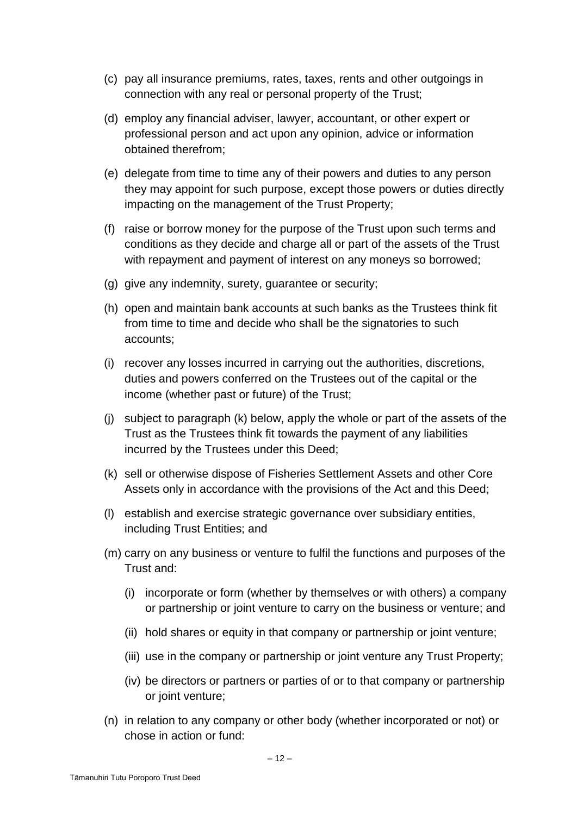- (c) pay all insurance premiums, rates, taxes, rents and other outgoings in connection with any real or personal property of the Trust;
- (d) employ any financial adviser, lawyer, accountant, or other expert or professional person and act upon any opinion, advice or information obtained therefrom;
- (e) delegate from time to time any of their powers and duties to any person they may appoint for such purpose, except those powers or duties directly impacting on the management of the Trust Property;
- (f) raise or borrow money for the purpose of the Trust upon such terms and conditions as they decide and charge all or part of the assets of the Trust with repayment and payment of interest on any moneys so borrowed;
- (g) give any indemnity, surety, guarantee or security;
- (h) open and maintain bank accounts at such banks as the Trustees think fit from time to time and decide who shall be the signatories to such accounts;
- (i) recover any losses incurred in carrying out the authorities, discretions, duties and powers conferred on the Trustees out of the capital or the income (whether past or future) of the Trust;
- (j) subject to paragraph (k) below, apply the whole or part of the assets of the Trust as the Trustees think fit towards the payment of any liabilities incurred by the Trustees under this Deed;
- (k) sell or otherwise dispose of Fisheries Settlement Assets and other Core Assets only in accordance with the provisions of the Act and this Deed;
- (l) establish and exercise strategic governance over subsidiary entities, including Trust Entities; and
- (m) carry on any business or venture to fulfil the functions and purposes of the Trust and:
	- (i) incorporate or form (whether by themselves or with others) a company or partnership or joint venture to carry on the business or venture; and
	- (ii) hold shares or equity in that company or partnership or joint venture;
	- (iii) use in the company or partnership or joint venture any Trust Property;
	- (iv) be directors or partners or parties of or to that company or partnership or joint venture;
- (n) in relation to any company or other body (whether incorporated or not) or chose in action or fund: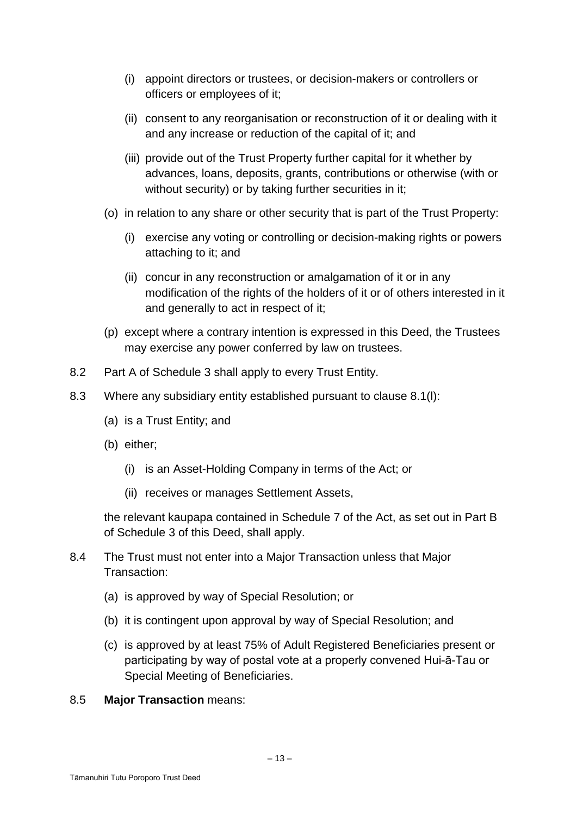- (i) appoint directors or trustees, or decision-makers or controllers or officers or employees of it;
- (ii) consent to any reorganisation or reconstruction of it or dealing with it and any increase or reduction of the capital of it; and
- (iii) provide out of the Trust Property further capital for it whether by advances, loans, deposits, grants, contributions or otherwise (with or without security) or by taking further securities in it;
- (o) in relation to any share or other security that is part of the Trust Property:
	- (i) exercise any voting or controlling or decision-making rights or powers attaching to it; and
	- (ii) concur in any reconstruction or amalgamation of it or in any modification of the rights of the holders of it or of others interested in it and generally to act in respect of it;
- (p) except where a contrary intention is expressed in this Deed, the Trustees may exercise any power conferred by law on trustees.
- 8.2 Part A of Schedule 3 shall apply to every Trust Entity.
- 8.3 Where any subsidiary entity established pursuant to clause 8.1(l):
	- (a) is a Trust Entity; and
	- (b) either;
		- (i) is an Asset-Holding Company in terms of the Act; or
		- (ii) receives or manages Settlement Assets,

the relevant kaupapa contained in Schedule 7 of the Act, as set out in Part B of Schedule 3 of this Deed, shall apply.

- 8.4 The Trust must not enter into a Major Transaction unless that Major Transaction:
	- (a) is approved by way of Special Resolution; or
	- (b) it is contingent upon approval by way of Special Resolution; and
	- (c) is approved by at least 75% of Adult Registered Beneficiaries present or participating by way of postal vote at a properly convened Hui-ā-Tau or Special Meeting of Beneficiaries.
- 8.5 **Major Transaction** means: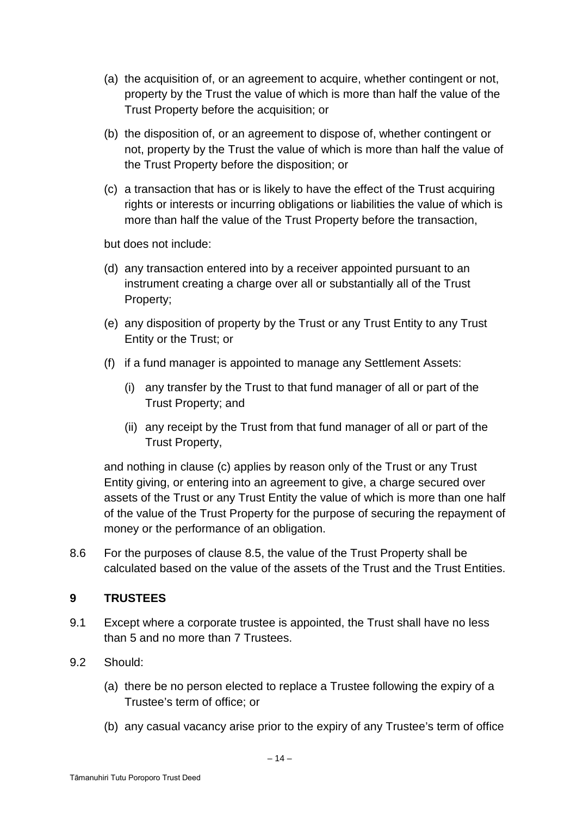- (a) the acquisition of, or an agreement to acquire, whether contingent or not, property by the Trust the value of which is more than half the value of the Trust Property before the acquisition; or
- (b) the disposition of, or an agreement to dispose of, whether contingent or not, property by the Trust the value of which is more than half the value of the Trust Property before the disposition; or
- (c) a transaction that has or is likely to have the effect of the Trust acquiring rights or interests or incurring obligations or liabilities the value of which is more than half the value of the Trust Property before the transaction,

but does not include:

- (d) any transaction entered into by a receiver appointed pursuant to an instrument creating a charge over all or substantially all of the Trust Property;
- (e) any disposition of property by the Trust or any Trust Entity to any Trust Entity or the Trust; or
- (f) if a fund manager is appointed to manage any Settlement Assets:
	- (i) any transfer by the Trust to that fund manager of all or part of the Trust Property; and
	- (ii) any receipt by the Trust from that fund manager of all or part of the Trust Property,

and nothing in clause (c) applies by reason only of the Trust or any Trust Entity giving, or entering into an agreement to give, a charge secured over assets of the Trust or any Trust Entity the value of which is more than one half of the value of the Trust Property for the purpose of securing the repayment of money or the performance of an obligation.

8.6 For the purposes of clause 8.5, the value of the Trust Property shall be calculated based on the value of the assets of the Trust and the Trust Entities.

# **9 TRUSTEES**

- 9.1 Except where a corporate trustee is appointed, the Trust shall have no less than 5 and no more than 7 Trustees.
- 9.2 Should:
	- (a) there be no person elected to replace a Trustee following the expiry of a Trustee's term of office; or
	- (b) any casual vacancy arise prior to the expiry of any Trustee's term of office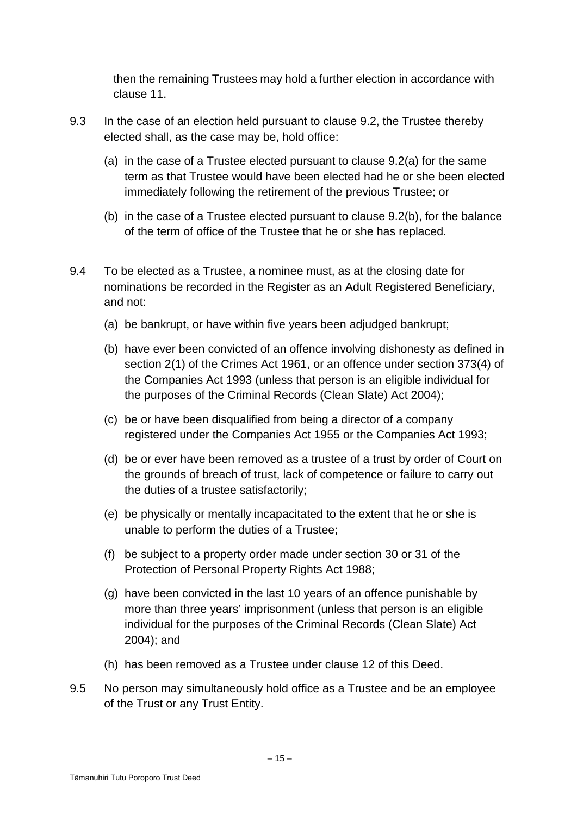then the remaining Trustees may hold a further election in accordance with clause 11.

- 9.3 In the case of an election held pursuant to clause 9.2, the Trustee thereby elected shall, as the case may be, hold office:
	- (a) in the case of a Trustee elected pursuant to clause 9.2(a) for the same term as that Trustee would have been elected had he or she been elected immediately following the retirement of the previous Trustee; or
	- (b) in the case of a Trustee elected pursuant to clause 9.2(b), for the balance of the term of office of the Trustee that he or she has replaced.
- 9.4 To be elected as a Trustee, a nominee must, as at the closing date for nominations be recorded in the Register as an Adult Registered Beneficiary, and not:
	- (a) be bankrupt, or have within five years been adjudged bankrupt;
	- (b) have ever been convicted of an offence involving dishonesty as defined in section 2(1) of the Crimes Act 1961, or an offence under section 373(4) of the Companies Act 1993 (unless that person is an eligible individual for the purposes of the Criminal Records (Clean Slate) Act 2004);
	- (c) be or have been disqualified from being a director of a company registered under the Companies Act 1955 or the Companies Act 1993;
	- (d) be or ever have been removed as a trustee of a trust by order of Court on the grounds of breach of trust, lack of competence or failure to carry out the duties of a trustee satisfactorily;
	- (e) be physically or mentally incapacitated to the extent that he or she is unable to perform the duties of a Trustee;
	- (f) be subject to a property order made under section 30 or 31 of the Protection of Personal Property Rights Act 1988;
	- (g) have been convicted in the last 10 years of an offence punishable by more than three years' imprisonment (unless that person is an eligible individual for the purposes of the Criminal Records (Clean Slate) Act 2004); and
	- (h) has been removed as a Trustee under clause 12 of this Deed.
- 9.5 No person may simultaneously hold office as a Trustee and be an employee of the Trust or any Trust Entity.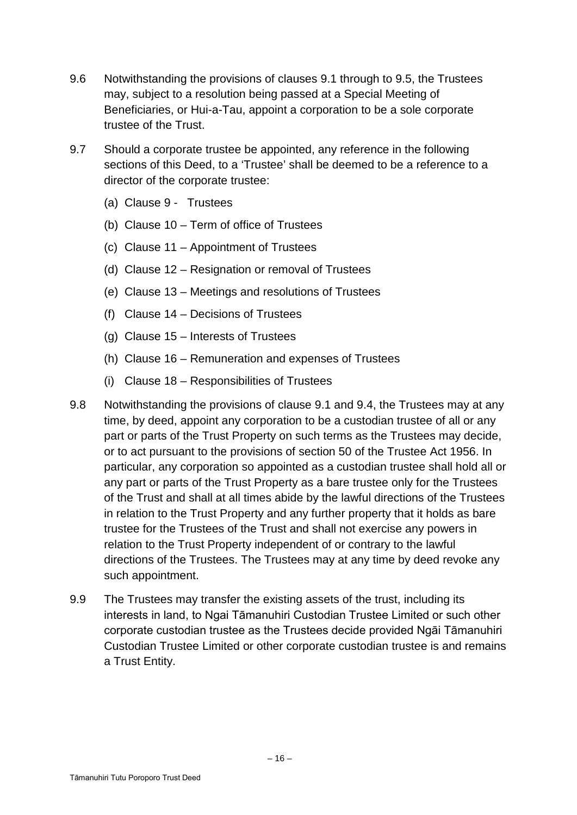- 9.6 Notwithstanding the provisions of clauses 9.1 through to 9.5, the Trustees may, subject to a resolution being passed at a Special Meeting of Beneficiaries, or Hui-a-Tau, appoint a corporation to be a sole corporate trustee of the Trust.
- 9.7 Should a corporate trustee be appointed, any reference in the following sections of this Deed, to a 'Trustee' shall be deemed to be a reference to a director of the corporate trustee:
	- (a) Clause 9 Trustees
	- (b) Clause 10 Term of office of Trustees
	- (c) Clause 11 Appointment of Trustees
	- (d) Clause 12 Resignation or removal of Trustees
	- (e) Clause 13 Meetings and resolutions of Trustees
	- (f) Clause 14 Decisions of Trustees
	- (g) Clause 15 Interests of Trustees
	- (h) Clause 16 Remuneration and expenses of Trustees
	- (i) Clause 18 Responsibilities of Trustees
- 9.8 Notwithstanding the provisions of clause 9.1 and 9.4, the Trustees may at any time, by deed, appoint any corporation to be a custodian trustee of all or any part or parts of the Trust Property on such terms as the Trustees may decide, or to act pursuant to the provisions of section 50 of the Trustee Act 1956. In particular, any corporation so appointed as a custodian trustee shall hold all or any part or parts of the Trust Property as a bare trustee only for the Trustees of the Trust and shall at all times abide by the lawful directions of the Trustees in relation to the Trust Property and any further property that it holds as bare trustee for the Trustees of the Trust and shall not exercise any powers in relation to the Trust Property independent of or contrary to the lawful directions of the Trustees. The Trustees may at any time by deed revoke any such appointment.
- 9.9 The Trustees may transfer the existing assets of the trust, including its interests in land, to Ngai Tāmanuhiri Custodian Trustee Limited or such other corporate custodian trustee as the Trustees decide provided Ngāi Tāmanuhiri Custodian Trustee Limited or other corporate custodian trustee is and remains a Trust Entity.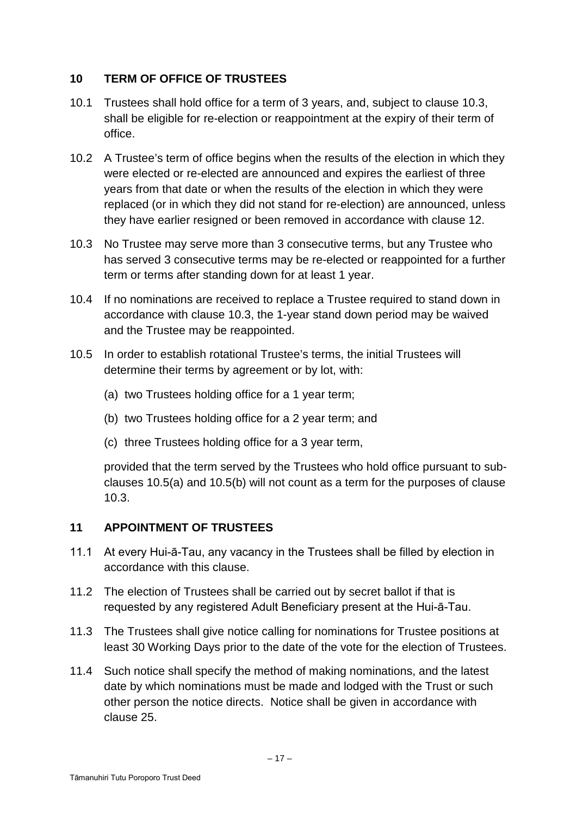# **10 TERM OF OFFICE OF TRUSTEES**

- 10.1 Trustees shall hold office for a term of 3 years, and, subject to clause 10.3, shall be eligible for re-election or reappointment at the expiry of their term of office.
- 10.2 A Trustee's term of office begins when the results of the election in which they were elected or re-elected are announced and expires the earliest of three years from that date or when the results of the election in which they were replaced (or in which they did not stand for re-election) are announced, unless they have earlier resigned or been removed in accordance with clause 12.
- 10.3 No Trustee may serve more than 3 consecutive terms, but any Trustee who has served 3 consecutive terms may be re-elected or reappointed for a further term or terms after standing down for at least 1 year.
- 10.4 If no nominations are received to replace a Trustee required to stand down in accordance with clause 10.3, the 1-year stand down period may be waived and the Trustee may be reappointed.
- 10.5 In order to establish rotational Trustee's terms, the initial Trustees will determine their terms by agreement or by lot, with:
	- (a) two Trustees holding office for a 1 year term;
	- (b) two Trustees holding office for a 2 year term; and
	- (c) three Trustees holding office for a 3 year term,

provided that the term served by the Trustees who hold office pursuant to subclauses 10.5(a) and 10.5(b) will not count as a term for the purposes of clause 10.3.

# **11 APPOINTMENT OF TRUSTEES**

- 11.1 At every Hui-ā-Tau, any vacancy in the Trustees shall be filled by election in accordance with this clause.
- 11.2 The election of Trustees shall be carried out by secret ballot if that is requested by any registered Adult Beneficiary present at the Hui-ā-Tau.
- 11.3 The Trustees shall give notice calling for nominations for Trustee positions at least 30 Working Days prior to the date of the vote for the election of Trustees.
- 11.4 Such notice shall specify the method of making nominations, and the latest date by which nominations must be made and lodged with the Trust or such other person the notice directs. Notice shall be given in accordance with clause 25.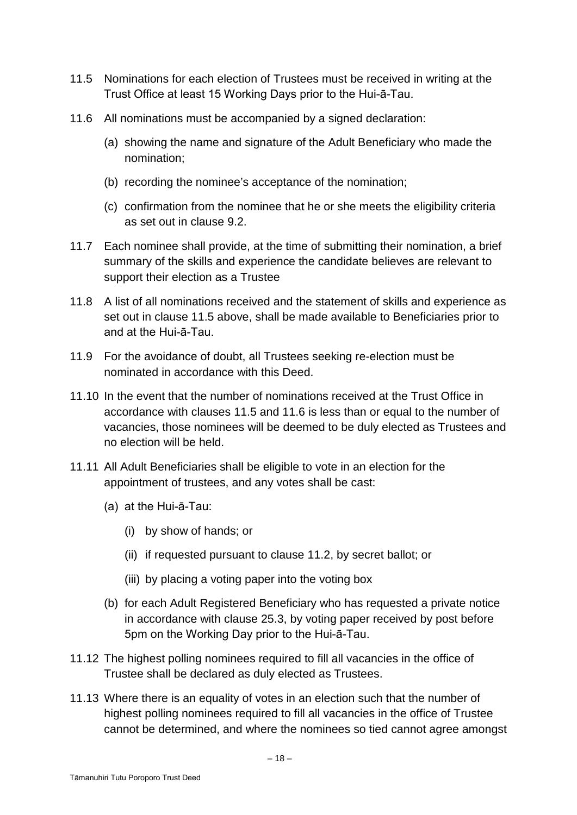- 11.5 Nominations for each election of Trustees must be received in writing at the Trust Office at least 15 Working Days prior to the Hui-ā-Tau.
- 11.6 All nominations must be accompanied by a signed declaration:
	- (a) showing the name and signature of the Adult Beneficiary who made the nomination;
	- (b) recording the nominee's acceptance of the nomination;
	- (c) confirmation from the nominee that he or she meets the eligibility criteria as set out in clause 9.2.
- 11.7 Each nominee shall provide, at the time of submitting their nomination, a brief summary of the skills and experience the candidate believes are relevant to support their election as a Trustee
- 11.8 A list of all nominations received and the statement of skills and experience as set out in clause 11.5 above, shall be made available to Beneficiaries prior to and at the Hui-ā-Tau.
- 11.9 For the avoidance of doubt, all Trustees seeking re-election must be nominated in accordance with this Deed.
- 11.10 In the event that the number of nominations received at the Trust Office in accordance with clauses 11.5 and 11.6 is less than or equal to the number of vacancies, those nominees will be deemed to be duly elected as Trustees and no election will be held.
- 11.11 All Adult Beneficiaries shall be eligible to vote in an election for the appointment of trustees, and any votes shall be cast:
	- (a) at the Hui-ā-Tau:
		- (i) by show of hands; or
		- (ii) if requested pursuant to clause 11.2, by secret ballot; or
		- (iii) by placing a voting paper into the voting box
	- (b) for each Adult Registered Beneficiary who has requested a private notice in accordance with clause 25.3, by voting paper received by post before 5pm on the Working Day prior to the Hui-ā-Tau.
- 11.12 The highest polling nominees required to fill all vacancies in the office of Trustee shall be declared as duly elected as Trustees.
- 11.13 Where there is an equality of votes in an election such that the number of highest polling nominees required to fill all vacancies in the office of Trustee cannot be determined, and where the nominees so tied cannot agree amongst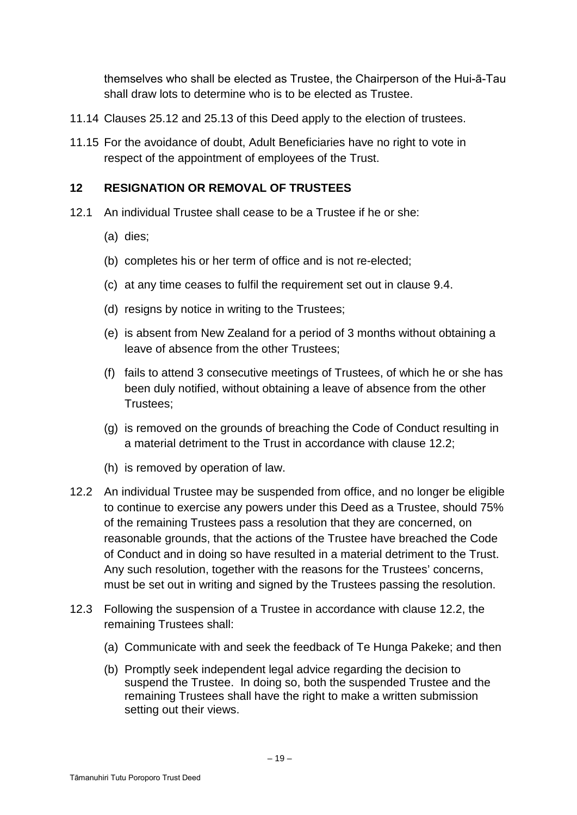themselves who shall be elected as Trustee, the Chairperson of the Hui-ā-Tau shall draw lots to determine who is to be elected as Trustee.

- 11.14 Clauses 25.12 and 25.13 of this Deed apply to the election of trustees.
- 11.15 For the avoidance of doubt, Adult Beneficiaries have no right to vote in respect of the appointment of employees of the Trust.

## **12 RESIGNATION OR REMOVAL OF TRUSTEES**

- 12.1 An individual Trustee shall cease to be a Trustee if he or she:
	- (a) dies;
	- (b) completes his or her term of office and is not re-elected;
	- (c) at any time ceases to fulfil the requirement set out in clause 9.4.
	- (d) resigns by notice in writing to the Trustees;
	- (e) is absent from New Zealand for a period of 3 months without obtaining a leave of absence from the other Trustees;
	- (f) fails to attend 3 consecutive meetings of Trustees, of which he or she has been duly notified, without obtaining a leave of absence from the other Trustees;
	- (g) is removed on the grounds of breaching the Code of Conduct resulting in a material detriment to the Trust in accordance with clause 12.2;
	- (h) is removed by operation of law.
- 12.2 An individual Trustee may be suspended from office, and no longer be eligible to continue to exercise any powers under this Deed as a Trustee, should 75% of the remaining Trustees pass a resolution that they are concerned, on reasonable grounds, that the actions of the Trustee have breached the Code of Conduct and in doing so have resulted in a material detriment to the Trust. Any such resolution, together with the reasons for the Trustees' concerns, must be set out in writing and signed by the Trustees passing the resolution.
- 12.3 Following the suspension of a Trustee in accordance with clause 12.2, the remaining Trustees shall:
	- (a) Communicate with and seek the feedback of Te Hunga Pakeke; and then
	- (b) Promptly seek independent legal advice regarding the decision to suspend the Trustee. In doing so, both the suspended Trustee and the remaining Trustees shall have the right to make a written submission setting out their views.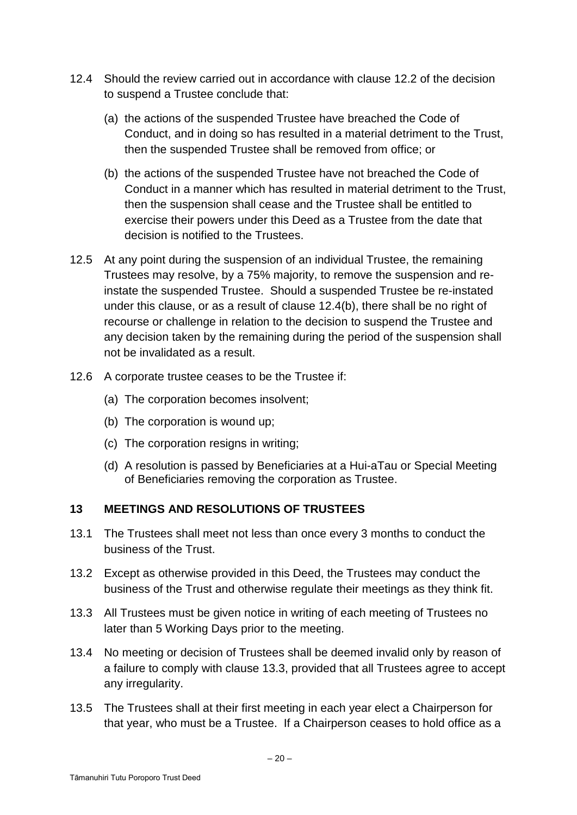- 12.4 Should the review carried out in accordance with clause 12.2 of the decision to suspend a Trustee conclude that:
	- (a) the actions of the suspended Trustee have breached the Code of Conduct, and in doing so has resulted in a material detriment to the Trust, then the suspended Trustee shall be removed from office; or
	- (b) the actions of the suspended Trustee have not breached the Code of Conduct in a manner which has resulted in material detriment to the Trust, then the suspension shall cease and the Trustee shall be entitled to exercise their powers under this Deed as a Trustee from the date that decision is notified to the Trustees.
- 12.5 At any point during the suspension of an individual Trustee, the remaining Trustees may resolve, by a 75% majority, to remove the suspension and reinstate the suspended Trustee. Should a suspended Trustee be re-instated under this clause, or as a result of clause 12.4(b), there shall be no right of recourse or challenge in relation to the decision to suspend the Trustee and any decision taken by the remaining during the period of the suspension shall not be invalidated as a result.
- 12.6 A corporate trustee ceases to be the Trustee if:
	- (a) The corporation becomes insolvent;
	- (b) The corporation is wound up;
	- (c) The corporation resigns in writing;
	- (d) A resolution is passed by Beneficiaries at a Hui-aTau or Special Meeting of Beneficiaries removing the corporation as Trustee.

# **13 MEETINGS AND RESOLUTIONS OF TRUSTEES**

- 13.1 The Trustees shall meet not less than once every 3 months to conduct the business of the Trust.
- 13.2 Except as otherwise provided in this Deed, the Trustees may conduct the business of the Trust and otherwise regulate their meetings as they think fit.
- 13.3 All Trustees must be given notice in writing of each meeting of Trustees no later than 5 Working Days prior to the meeting.
- 13.4 No meeting or decision of Trustees shall be deemed invalid only by reason of a failure to comply with clause 13.3, provided that all Trustees agree to accept any irregularity.
- 13.5 The Trustees shall at their first meeting in each year elect a Chairperson for that year, who must be a Trustee. If a Chairperson ceases to hold office as a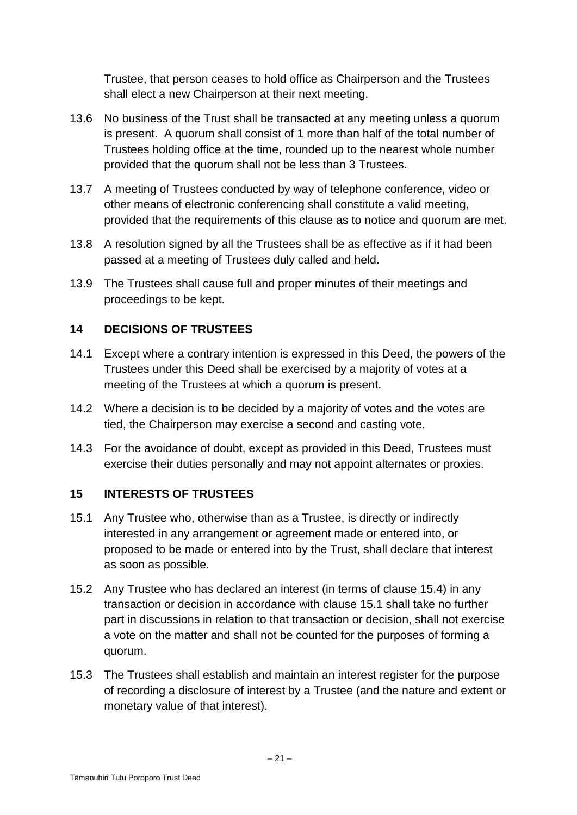Trustee, that person ceases to hold office as Chairperson and the Trustees shall elect a new Chairperson at their next meeting.

- 13.6 No business of the Trust shall be transacted at any meeting unless a quorum is present. A quorum shall consist of 1 more than half of the total number of Trustees holding office at the time, rounded up to the nearest whole number provided that the quorum shall not be less than 3 Trustees.
- 13.7 A meeting of Trustees conducted by way of telephone conference, video or other means of electronic conferencing shall constitute a valid meeting, provided that the requirements of this clause as to notice and quorum are met.
- 13.8 A resolution signed by all the Trustees shall be as effective as if it had been passed at a meeting of Trustees duly called and held.
- 13.9 The Trustees shall cause full and proper minutes of their meetings and proceedings to be kept.

# **14 DECISIONS OF TRUSTEES**

- 14.1 Except where a contrary intention is expressed in this Deed, the powers of the Trustees under this Deed shall be exercised by a majority of votes at a meeting of the Trustees at which a quorum is present.
- 14.2 Where a decision is to be decided by a majority of votes and the votes are tied, the Chairperson may exercise a second and casting vote.
- 14.3 For the avoidance of doubt, except as provided in this Deed, Trustees must exercise their duties personally and may not appoint alternates or proxies.

# **15 INTERESTS OF TRUSTEES**

- 15.1 Any Trustee who, otherwise than as a Trustee, is directly or indirectly interested in any arrangement or agreement made or entered into, or proposed to be made or entered into by the Trust, shall declare that interest as soon as possible.
- 15.2 Any Trustee who has declared an interest (in terms of clause 15.4) in any transaction or decision in accordance with clause 15.1 shall take no further part in discussions in relation to that transaction or decision, shall not exercise a vote on the matter and shall not be counted for the purposes of forming a quorum.
- 15.3 The Trustees shall establish and maintain an interest register for the purpose of recording a disclosure of interest by a Trustee (and the nature and extent or monetary value of that interest).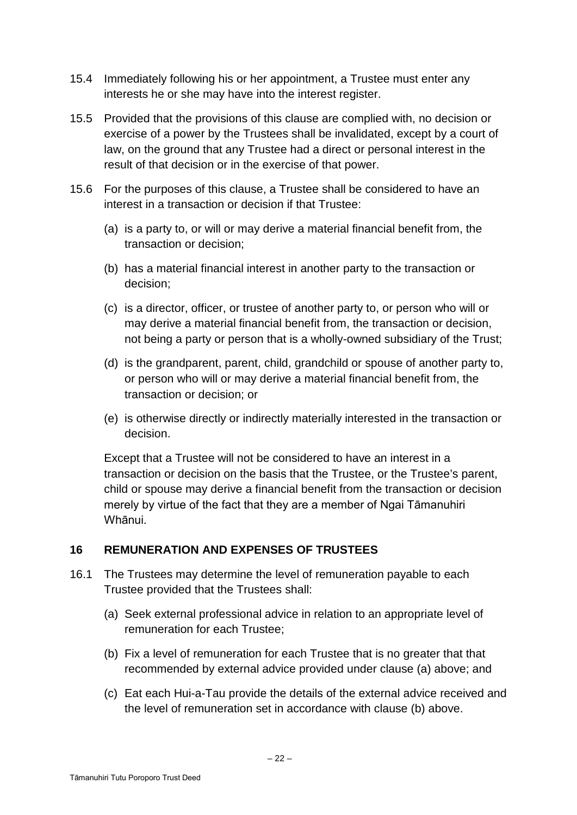- 15.4 Immediately following his or her appointment, a Trustee must enter any interests he or she may have into the interest register.
- 15.5 Provided that the provisions of this clause are complied with, no decision or exercise of a power by the Trustees shall be invalidated, except by a court of law, on the ground that any Trustee had a direct or personal interest in the result of that decision or in the exercise of that power.
- 15.6 For the purposes of this clause, a Trustee shall be considered to have an interest in a transaction or decision if that Trustee:
	- (a) is a party to, or will or may derive a material financial benefit from, the transaction or decision;
	- (b) has a material financial interest in another party to the transaction or decision;
	- (c) is a director, officer, or trustee of another party to, or person who will or may derive a material financial benefit from, the transaction or decision, not being a party or person that is a wholly-owned subsidiary of the Trust;
	- (d) is the grandparent, parent, child, grandchild or spouse of another party to, or person who will or may derive a material financial benefit from, the transaction or decision; or
	- (e) is otherwise directly or indirectly materially interested in the transaction or decision.

Except that a Trustee will not be considered to have an interest in a transaction or decision on the basis that the Trustee, or the Trustee's parent, child or spouse may derive a financial benefit from the transaction or decision merely by virtue of the fact that they are a member of Ngai Tāmanuhiri Whānui.

# **16 REMUNERATION AND EXPENSES OF TRUSTEES**

- 16.1 The Trustees may determine the level of remuneration payable to each Trustee provided that the Trustees shall:
	- (a) Seek external professional advice in relation to an appropriate level of remuneration for each Trustee;
	- (b) Fix a level of remuneration for each Trustee that is no greater that that recommended by external advice provided under clause (a) above; and
	- (c) Eat each Hui-a-Tau provide the details of the external advice received and the level of remuneration set in accordance with clause (b) above.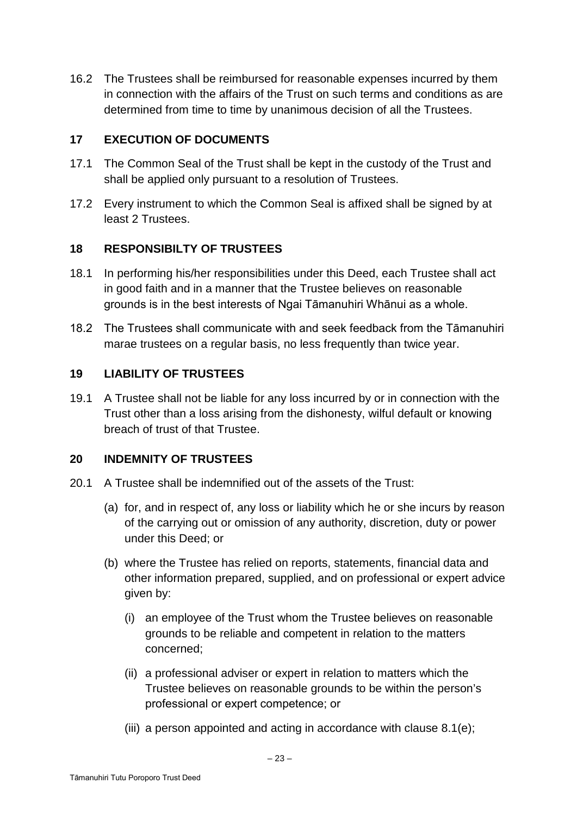16.2 The Trustees shall be reimbursed for reasonable expenses incurred by them in connection with the affairs of the Trust on such terms and conditions as are determined from time to time by unanimous decision of all the Trustees.

# **17 EXECUTION OF DOCUMENTS**

- 17.1 The Common Seal of the Trust shall be kept in the custody of the Trust and shall be applied only pursuant to a resolution of Trustees.
- 17.2 Every instrument to which the Common Seal is affixed shall be signed by at least 2 Trustees.

# **18 RESPONSIBILTY OF TRUSTEES**

- 18.1 In performing his/her responsibilities under this Deed, each Trustee shall act in good faith and in a manner that the Trustee believes on reasonable grounds is in the best interests of Ngai Tāmanuhiri Whānui as a whole.
- 18.2 The Trustees shall communicate with and seek feedback from the Tāmanuhiri marae trustees on a regular basis, no less frequently than twice year.

# **19 LIABILITY OF TRUSTEES**

19.1 A Trustee shall not be liable for any loss incurred by or in connection with the Trust other than a loss arising from the dishonesty, wilful default or knowing breach of trust of that Trustee.

# **20 INDEMNITY OF TRUSTEES**

- 20.1 A Trustee shall be indemnified out of the assets of the Trust:
	- (a) for, and in respect of, any loss or liability which he or she incurs by reason of the carrying out or omission of any authority, discretion, duty or power under this Deed; or
	- (b) where the Trustee has relied on reports, statements, financial data and other information prepared, supplied, and on professional or expert advice given by:
		- (i) an employee of the Trust whom the Trustee believes on reasonable grounds to be reliable and competent in relation to the matters concerned;
		- (ii) a professional adviser or expert in relation to matters which the Trustee believes on reasonable grounds to be within the person's professional or expert competence; or
		- (iii) a person appointed and acting in accordance with clause 8.1(e);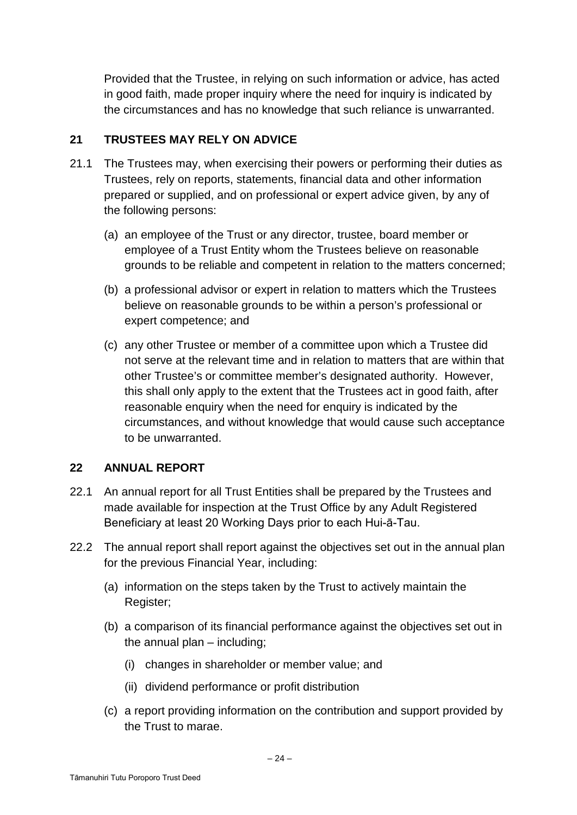Provided that the Trustee, in relying on such information or advice, has acted in good faith, made proper inquiry where the need for inquiry is indicated by the circumstances and has no knowledge that such reliance is unwarranted.

# **21 TRUSTEES MAY RELY ON ADVICE**

- 21.1 The Trustees may, when exercising their powers or performing their duties as Trustees, rely on reports, statements, financial data and other information prepared or supplied, and on professional or expert advice given, by any of the following persons:
	- (a) an employee of the Trust or any director, trustee, board member or employee of a Trust Entity whom the Trustees believe on reasonable grounds to be reliable and competent in relation to the matters concerned;
	- (b) a professional advisor or expert in relation to matters which the Trustees believe on reasonable grounds to be within a person's professional or expert competence; and
	- (c) any other Trustee or member of a committee upon which a Trustee did not serve at the relevant time and in relation to matters that are within that other Trustee's or committee member's designated authority. However, this shall only apply to the extent that the Trustees act in good faith, after reasonable enquiry when the need for enquiry is indicated by the circumstances, and without knowledge that would cause such acceptance to be unwarranted.

# **22 ANNUAL REPORT**

- 22.1 An annual report for all Trust Entities shall be prepared by the Trustees and made available for inspection at the Trust Office by any Adult Registered Beneficiary at least 20 Working Days prior to each Hui-ā-Tau.
- 22.2 The annual report shall report against the objectives set out in the annual plan for the previous Financial Year, including:
	- (a) information on the steps taken by the Trust to actively maintain the Register;
	- (b) a comparison of its financial performance against the objectives set out in the annual plan – including;
		- (i) changes in shareholder or member value; and
		- (ii) dividend performance or profit distribution
	- (c) a report providing information on the contribution and support provided by the Trust to marae.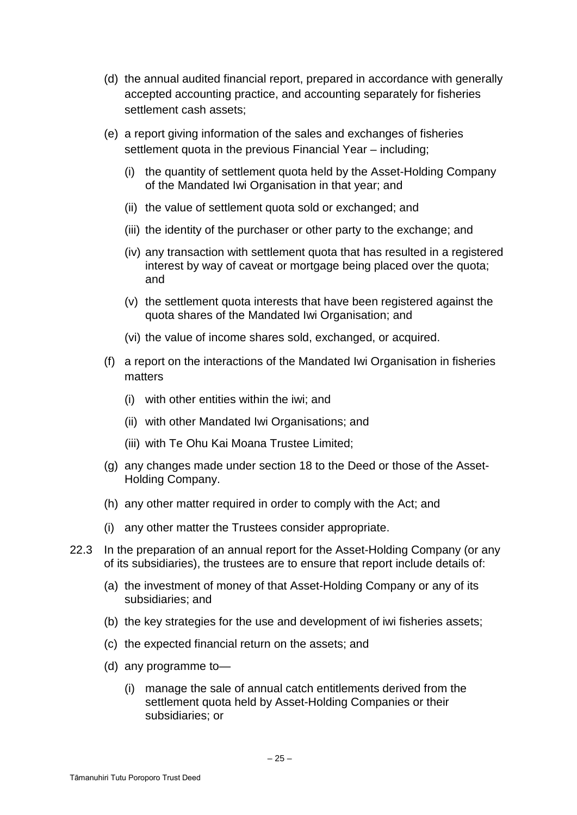- (d) the annual audited financial report, prepared in accordance with generally accepted accounting practice, and accounting separately for fisheries settlement cash assets;
- (e) a report giving information of the sales and exchanges of fisheries settlement quota in the previous Financial Year – including;
	- (i) the quantity of settlement quota held by the Asset-Holding Company of the Mandated Iwi Organisation in that year; and
	- (ii) the value of settlement quota sold or exchanged; and
	- (iii) the identity of the purchaser or other party to the exchange; and
	- (iv) any transaction with settlement quota that has resulted in a registered interest by way of caveat or mortgage being placed over the quota; and
	- (v) the settlement quota interests that have been registered against the quota shares of the Mandated Iwi Organisation; and
	- (vi) the value of income shares sold, exchanged, or acquired.
- (f) a report on the interactions of the Mandated Iwi Organisation in fisheries matters
	- (i) with other entities within the iwi; and
	- (ii) with other Mandated Iwi Organisations; and
	- (iii) with Te Ohu Kai Moana Trustee Limited;
- (g) any changes made under section 18 to the Deed or those of the Asset-Holding Company.
- (h) any other matter required in order to comply with the Act; and
- (i) any other matter the Trustees consider appropriate.
- 22.3 In the preparation of an annual report for the Asset-Holding Company (or any of its subsidiaries), the trustees are to ensure that report include details of:
	- (a) the investment of money of that Asset-Holding Company or any of its subsidiaries; and
	- (b) the key strategies for the use and development of iwi fisheries assets;
	- (c) the expected financial return on the assets; and
	- (d) any programme to—
		- (i) manage the sale of annual catch entitlements derived from the settlement quota held by Asset-Holding Companies or their subsidiaries; or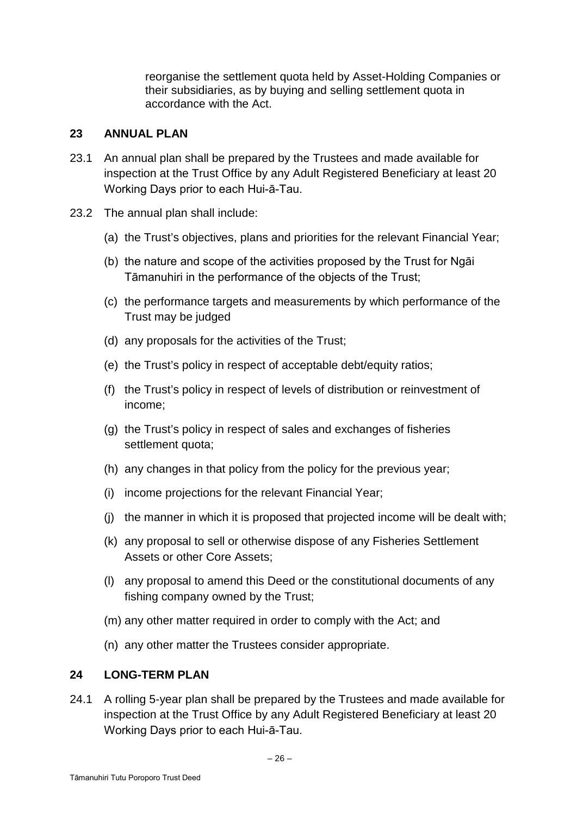reorganise the settlement quota held by Asset-Holding Companies or their subsidiaries, as by buying and selling settlement quota in accordance with the Act.

## **23 ANNUAL PLAN**

- 23.1 An annual plan shall be prepared by the Trustees and made available for inspection at the Trust Office by any Adult Registered Beneficiary at least 20 Working Days prior to each Hui-ā-Tau.
- 23.2 The annual plan shall include:
	- (a) the Trust's objectives, plans and priorities for the relevant Financial Year;
	- (b) the nature and scope of the activities proposed by the Trust for Ngāi Tāmanuhiri in the performance of the objects of the Trust;
	- (c) the performance targets and measurements by which performance of the Trust may be judged
	- (d) any proposals for the activities of the Trust;
	- (e) the Trust's policy in respect of acceptable debt/equity ratios;
	- (f) the Trust's policy in respect of levels of distribution or reinvestment of income;
	- (g) the Trust's policy in respect of sales and exchanges of fisheries settlement quota;
	- (h) any changes in that policy from the policy for the previous year;
	- (i) income projections for the relevant Financial Year;
	- (j) the manner in which it is proposed that projected income will be dealt with;
	- (k) any proposal to sell or otherwise dispose of any Fisheries Settlement Assets or other Core Assets;
	- (l) any proposal to amend this Deed or the constitutional documents of any fishing company owned by the Trust;
	- (m) any other matter required in order to comply with the Act; and
	- (n) any other matter the Trustees consider appropriate.

# 24 **LONG-TERM PLAN**

24.1 A rolling 5-year plan shall be prepared by the Trustees and made available for inspection at the Trust Office by any Adult Registered Beneficiary at least 20 Working Days prior to each Hui-ā-Tau.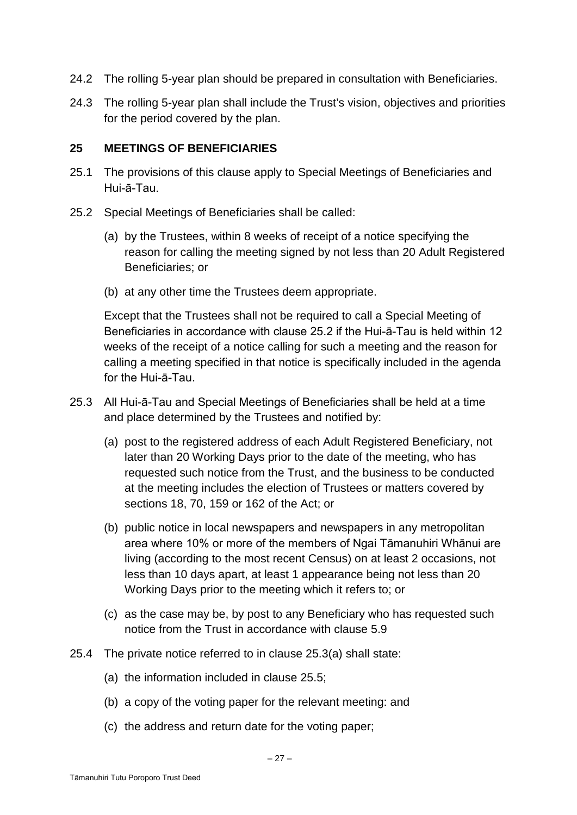- 24.2 The rolling 5-year plan should be prepared in consultation with Beneficiaries.
- 24.3 The rolling 5-year plan shall include the Trust's vision, objectives and priorities for the period covered by the plan.

## **25 MEETINGS OF BENEFICIARIES**

- 25.1 The provisions of this clause apply to Special Meetings of Beneficiaries and Hui-ā-Tau.
- 25.2 Special Meetings of Beneficiaries shall be called:
	- (a) by the Trustees, within 8 weeks of receipt of a notice specifying the reason for calling the meeting signed by not less than 20 Adult Registered Beneficiaries; or
	- (b) at any other time the Trustees deem appropriate.

Except that the Trustees shall not be required to call a Special Meeting of Beneficiaries in accordance with clause 25.2 if the Hui-ā-Tau is held within 12 weeks of the receipt of a notice calling for such a meeting and the reason for calling a meeting specified in that notice is specifically included in the agenda for the Hui-ā-Tau.

- 25.3 All Hui-ā-Tau and Special Meetings of Beneficiaries shall be held at a time and place determined by the Trustees and notified by:
	- (a) post to the registered address of each Adult Registered Beneficiary, not later than 20 Working Days prior to the date of the meeting, who has requested such notice from the Trust, and the business to be conducted at the meeting includes the election of Trustees or matters covered by sections 18, 70, 159 or 162 of the Act; or
	- (b) public notice in local newspapers and newspapers in any metropolitan area where 10% or more of the members of Ngai Tāmanuhiri Whānui are living (according to the most recent Census) on at least 2 occasions, not less than 10 days apart, at least 1 appearance being not less than 20 Working Days prior to the meeting which it refers to; or
	- (c) as the case may be, by post to any Beneficiary who has requested such notice from the Trust in accordance with clause 5.9
- 25.4 The private notice referred to in clause 25.3(a) shall state:
	- (a) the information included in clause 25.5;
	- (b) a copy of the voting paper for the relevant meeting: and
	- (c) the address and return date for the voting paper;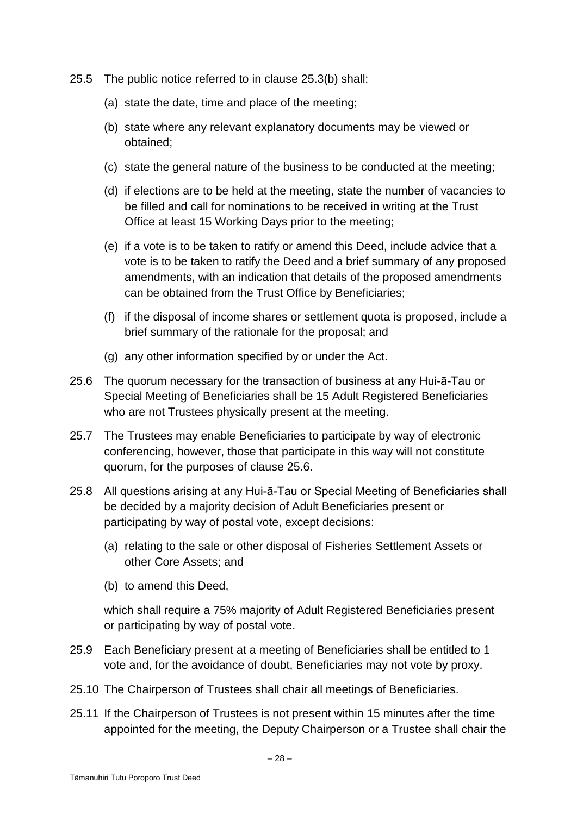- 25.5 The public notice referred to in clause 25.3(b) shall:
	- (a) state the date, time and place of the meeting;
	- (b) state where any relevant explanatory documents may be viewed or obtained;
	- (c) state the general nature of the business to be conducted at the meeting;
	- (d) if elections are to be held at the meeting, state the number of vacancies to be filled and call for nominations to be received in writing at the Trust Office at least 15 Working Days prior to the meeting;
	- (e) if a vote is to be taken to ratify or amend this Deed, include advice that a vote is to be taken to ratify the Deed and a brief summary of any proposed amendments, with an indication that details of the proposed amendments can be obtained from the Trust Office by Beneficiaries;
	- (f) if the disposal of income shares or settlement quota is proposed, include a brief summary of the rationale for the proposal; and
	- (g) any other information specified by or under the Act.
- 25.6 The quorum necessary for the transaction of business at any Hui-ā-Tau or Special Meeting of Beneficiaries shall be 15 Adult Registered Beneficiaries who are not Trustees physically present at the meeting.
- 25.7 The Trustees may enable Beneficiaries to participate by way of electronic conferencing, however, those that participate in this way will not constitute quorum, for the purposes of clause 25.6.
- 25.8 All questions arising at any Hui-ā-Tau or Special Meeting of Beneficiaries shall be decided by a majority decision of Adult Beneficiaries present or participating by way of postal vote, except decisions:
	- (a) relating to the sale or other disposal of Fisheries Settlement Assets or other Core Assets; and
	- (b) to amend this Deed,

which shall require a 75% majority of Adult Registered Beneficiaries present or participating by way of postal vote.

- 25.9 Each Beneficiary present at a meeting of Beneficiaries shall be entitled to 1 vote and, for the avoidance of doubt, Beneficiaries may not vote by proxy.
- 25.10 The Chairperson of Trustees shall chair all meetings of Beneficiaries.
- 25.11 If the Chairperson of Trustees is not present within 15 minutes after the time appointed for the meeting, the Deputy Chairperson or a Trustee shall chair the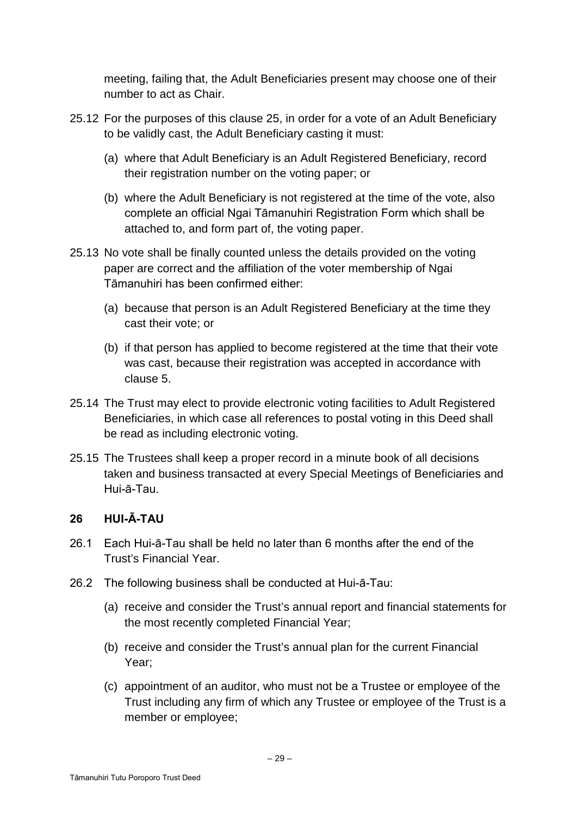meeting, failing that, the Adult Beneficiaries present may choose one of their number to act as Chair.

- 25.12 For the purposes of this clause 25, in order for a vote of an Adult Beneficiary to be validly cast, the Adult Beneficiary casting it must:
	- (a) where that Adult Beneficiary is an Adult Registered Beneficiary, record their registration number on the voting paper; or
	- (b) where the Adult Beneficiary is not registered at the time of the vote, also complete an official Ngai Tāmanuhiri Registration Form which shall be attached to, and form part of, the voting paper.
- 25.13 No vote shall be finally counted unless the details provided on the voting paper are correct and the affiliation of the voter membership of Ngai Tāmanuhiri has been confirmed either:
	- (a) because that person is an Adult Registered Beneficiary at the time they cast their vote; or
	- (b) if that person has applied to become registered at the time that their vote was cast, because their registration was accepted in accordance with clause 5.
- 25.14 The Trust may elect to provide electronic voting facilities to Adult Registered Beneficiaries, in which case all references to postal voting in this Deed shall be read as including electronic voting.
- 25.15 The Trustees shall keep a proper record in a minute book of all decisions taken and business transacted at every Special Meetings of Beneficiaries and Hui-ā-Tau.

# **26 HUI-Ā-TAU**

- 26.1 Each Hui-ā-Tau shall be held no later than 6 months after the end of the Trust's Financial Year.
- 26.2 The following business shall be conducted at Hui-ā-Tau:
	- (a) receive and consider the Trust's annual report and financial statements for the most recently completed Financial Year;
	- (b) receive and consider the Trust's annual plan for the current Financial Year;
	- (c) appointment of an auditor, who must not be a Trustee or employee of the Trust including any firm of which any Trustee or employee of the Trust is a member or employee;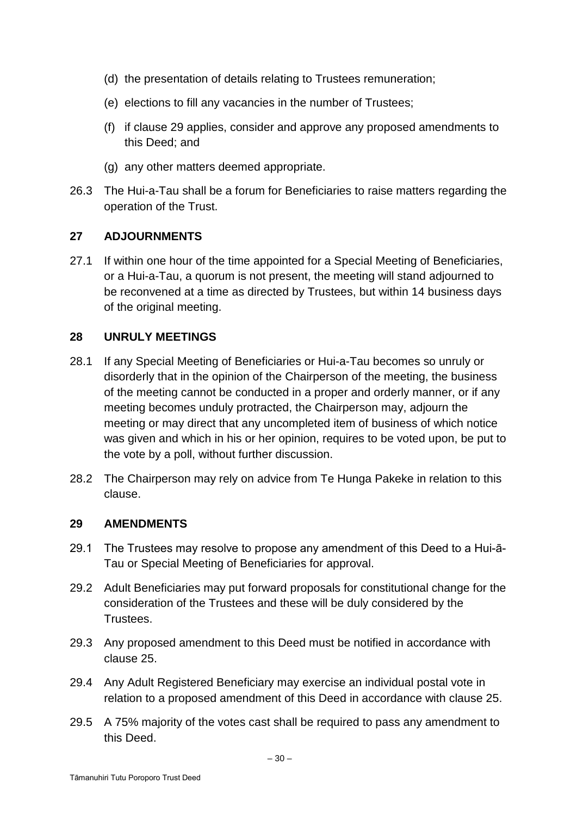- (d) the presentation of details relating to Trustees remuneration;
- (e) elections to fill any vacancies in the number of Trustees;
- (f) if clause 29 applies, consider and approve any proposed amendments to this Deed; and
- (g) any other matters deemed appropriate.
- 26.3 The Hui-a-Tau shall be a forum for Beneficiaries to raise matters regarding the operation of the Trust.

#### **27 ADJOURNMENTS**

27.1 If within one hour of the time appointed for a Special Meeting of Beneficiaries, or a Hui-a-Tau, a quorum is not present, the meeting will stand adjourned to be reconvened at a time as directed by Trustees, but within 14 business days of the original meeting.

## **28 UNRULY MEETINGS**

- 28.1 If any Special Meeting of Beneficiaries or Hui-a-Tau becomes so unruly or disorderly that in the opinion of the Chairperson of the meeting, the business of the meeting cannot be conducted in a proper and orderly manner, or if any meeting becomes unduly protracted, the Chairperson may, adjourn the meeting or may direct that any uncompleted item of business of which notice was given and which in his or her opinion, requires to be voted upon, be put to the vote by a poll, without further discussion.
- 28.2 The Chairperson may rely on advice from Te Hunga Pakeke in relation to this clause.

#### **29 AMENDMENTS**

- 29.1 The Trustees may resolve to propose any amendment of this Deed to a Hui-ā-Tau or Special Meeting of Beneficiaries for approval.
- 29.2 Adult Beneficiaries may put forward proposals for constitutional change for the consideration of the Trustees and these will be duly considered by the Trustees.
- 29.3 Any proposed amendment to this Deed must be notified in accordance with clause 25.
- 29.4 Any Adult Registered Beneficiary may exercise an individual postal vote in relation to a proposed amendment of this Deed in accordance with clause 25.
- 29.5 A 75% majority of the votes cast shall be required to pass any amendment to this Deed.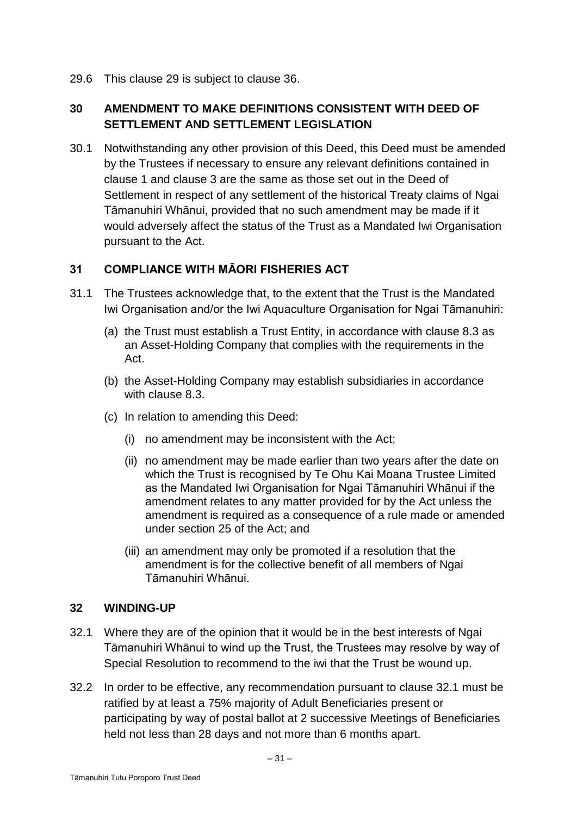29.6 This clause 29 is subject to clause 36.

# **30 AMENDMENT TO MAKE DEFINITIONS CONSISTENT WITH DEED OF SETTLEMENT AND SETTLEMENT LEGISLATION**

30.1 Notwithstanding any other provision of this Deed, this Deed must be amended by the Trustees if necessary to ensure any relevant definitions contained in clause 1 and clause 3 are the same as those set out in the Deed of Settlement in respect of any settlement of the historical Treaty claims of Ngai Tāmanuhiri Whānui, provided that no such amendment may be made if it would adversely affect the status of the Trust as a Mandated Iwi Organisation pursuant to the Act.

# **31 COMPLIANCE WITH MĀORI FISHERIES ACT**

- 31.1 The Trustees acknowledge that, to the extent that the Trust is the Mandated Iwi Organisation and/or the Iwi Aquaculture Organisation for Ngai Tāmanuhiri:
	- (a) the Trust must establish a Trust Entity, in accordance with clause 8.3 as an Asset-Holding Company that complies with the requirements in the Act.
	- (b) the Asset-Holding Company may establish subsidiaries in accordance with clause 8.3.
	- (c) In relation to amending this Deed:
		- (i) no amendment may be inconsistent with the Act;
		- (ii) no amendment may be made earlier than two years after the date on which the Trust is recognised by Te Ohu Kai Moana Trustee Limited as the Mandated Iwi Organisation for Ngai Tāmanuhiri Whānui if the amendment relates to any matter provided for by the Act unless the amendment is required as a consequence of a rule made or amended under section 25 of the Act; and
		- (iii) an amendment may only be promoted if a resolution that the amendment is for the collective benefit of all members of Ngai Tāmanuhiri Whānui.

## **32 WINDING-UP**

- 32.1 Where they are of the opinion that it would be in the best interests of Ngai Tāmanuhiri Whānui to wind up the Trust, the Trustees may resolve by way of Special Resolution to recommend to the iwi that the Trust be wound up.
- 32.2 In order to be effective, any recommendation pursuant to clause 32.1 must be ratified by at least a 75% majority of Adult Beneficiaries present or participating by way of postal ballot at 2 successive Meetings of Beneficiaries held not less than 28 days and not more than 6 months apart.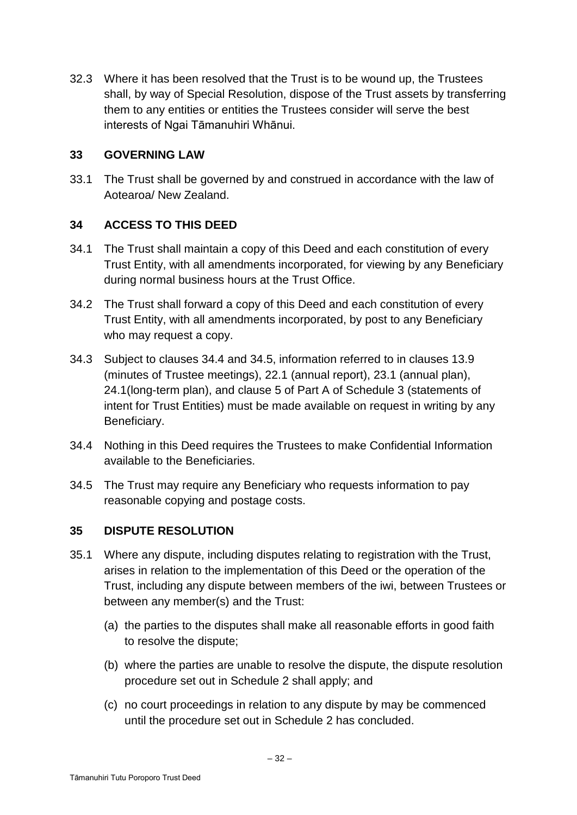32.3 Where it has been resolved that the Trust is to be wound up, the Trustees shall, by way of Special Resolution, dispose of the Trust assets by transferring them to any entities or entities the Trustees consider will serve the best interests of Ngai Tāmanuhiri Whānui.

## **33 GOVERNING LAW**

33.1 The Trust shall be governed by and construed in accordance with the law of Aotearoa/ New Zealand.

# **34 ACCESS TO THIS DEED**

- 34.1 The Trust shall maintain a copy of this Deed and each constitution of every Trust Entity, with all amendments incorporated, for viewing by any Beneficiary during normal business hours at the Trust Office.
- 34.2 The Trust shall forward a copy of this Deed and each constitution of every Trust Entity, with all amendments incorporated, by post to any Beneficiary who may request a copy.
- 34.3 Subject to clauses 34.4 and 34.5, information referred to in clauses 13.9 (minutes of Trustee meetings), 22.1 (annual report), 23.1 (annual plan), 24.1(long-term plan), and clause 5 of Part A of Schedule 3 (statements of intent for Trust Entities) must be made available on request in writing by any Beneficiary.
- 34.4 Nothing in this Deed requires the Trustees to make Confidential Information available to the Beneficiaries.
- 34.5 The Trust may require any Beneficiary who requests information to pay reasonable copying and postage costs.

# **35 DISPUTE RESOLUTION**

- 35.1 Where any dispute, including disputes relating to registration with the Trust, arises in relation to the implementation of this Deed or the operation of the Trust, including any dispute between members of the iwi, between Trustees or between any member(s) and the Trust:
	- (a) the parties to the disputes shall make all reasonable efforts in good faith to resolve the dispute;
	- (b) where the parties are unable to resolve the dispute, the dispute resolution procedure set out in Schedule 2 shall apply; and
	- (c) no court proceedings in relation to any dispute by may be commenced until the procedure set out in Schedule 2 has concluded.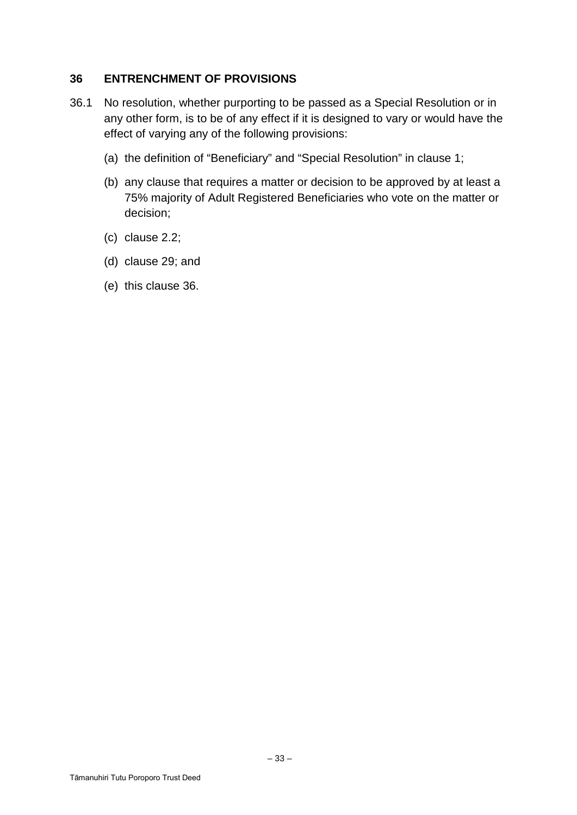## **36 ENTRENCHMENT OF PROVISIONS**

- 36.1 No resolution, whether purporting to be passed as a Special Resolution or in any other form, is to be of any effect if it is designed to vary or would have the effect of varying any of the following provisions:
	- (a) the definition of "Beneficiary" and "Special Resolution" in clause 1;
	- (b) any clause that requires a matter or decision to be approved by at least a 75% majority of Adult Registered Beneficiaries who vote on the matter or decision;
	- (c) clause 2.2;
	- (d) clause 29; and
	- (e) this clause 36.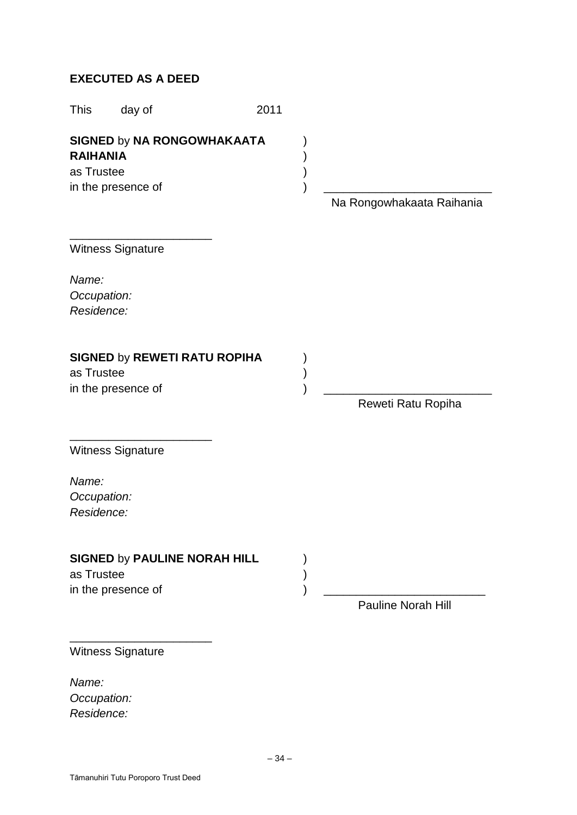# **EXECUTED AS A DEED**

| This                                                                                     | day of                                                    | 2011 |                           |
|------------------------------------------------------------------------------------------|-----------------------------------------------------------|------|---------------------------|
| <b>SIGNED by NA RONGOWHAKAATA</b><br><b>RAIHANIA</b><br>as Trustee<br>in the presence of |                                                           |      | Na Rongowhakaata Raihania |
|                                                                                          | Witness Signature                                         |      |                           |
| Name:<br>Occupation:<br>Residence:                                                       |                                                           |      |                           |
| as Trustee                                                                               | <b>SIGNED by REWETI RATU ROPIHA</b><br>in the presence of |      | Reweti Ratu Ropiha        |
| Name:<br>Occupation:<br>Residence:                                                       | Witness Signature                                         |      |                           |
| as Trustee                                                                               | <b>SIGNED by PAULINE NORAH HILL</b><br>in the presence of |      | <b>Pauline Norah Hill</b> |
|                                                                                          | Witness Signature                                         |      |                           |

*Name:*

*Occupation: Residence:*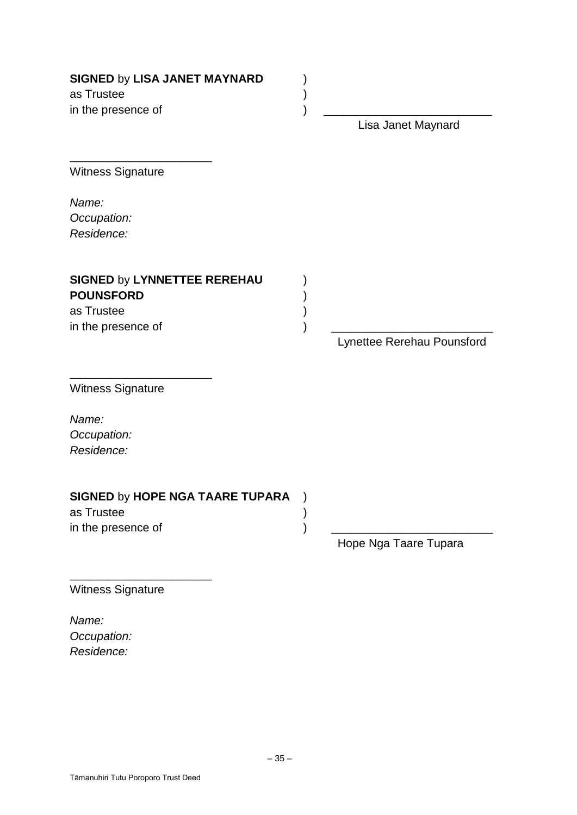| <b>SIGNED by LISA JANET MAYNARD</b><br>as Trustee<br>in the presence of                    | Lisa Janet Maynard         |
|--------------------------------------------------------------------------------------------|----------------------------|
| <b>Witness Signature</b>                                                                   |                            |
| Name:<br>Occupation:<br>Residence:                                                         |                            |
| <b>SIGNED by LYNNETTEE REREHAU</b><br><b>POUNSFORD</b><br>as Trustee<br>in the presence of | Lynettee Rerehau Pounsford |
| <b>Witness Signature</b><br>Name:<br>Occupation:                                           |                            |
| Residence:                                                                                 |                            |
| <b>SIGNED by HOPE NGA TAARE TUPARA</b><br>as Trustee<br>in the presence of                 | Hope Nga Taare Tupara      |
| <b>Witness Signature</b>                                                                   |                            |

*Name: Occupation: Residence:*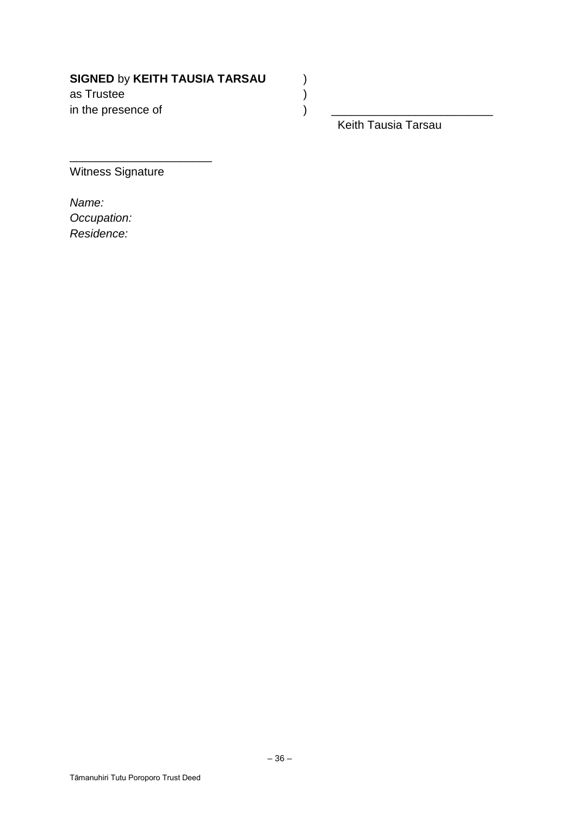# **SIGNED** by **KEITH TAUSIA TARSAU** )

as Trustee ) in the presence of  $\hspace{1.6cm}$  )

Keith Tausia Tarsau

Witness Signature

\_\_\_\_\_\_\_\_\_\_\_\_\_\_\_\_\_\_\_\_\_\_

*Name: Occupation: Residence:*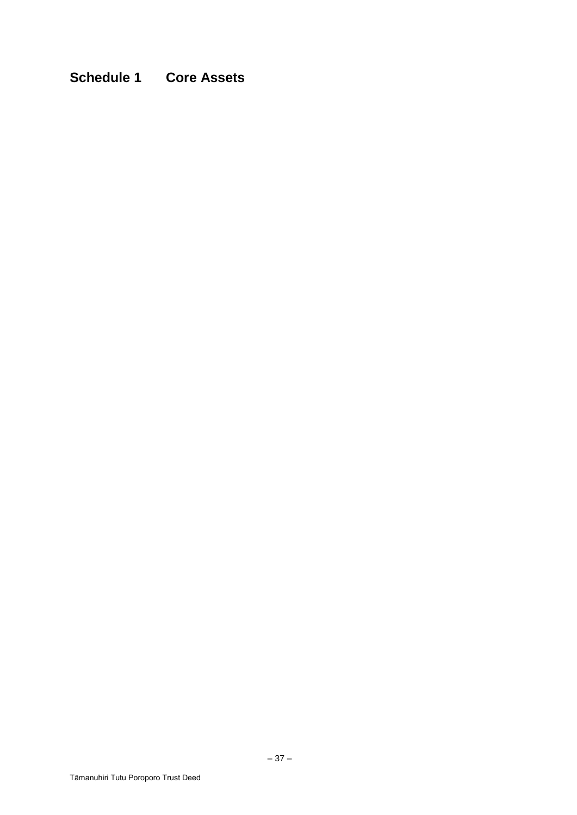# **Schedule 1 Core Assets**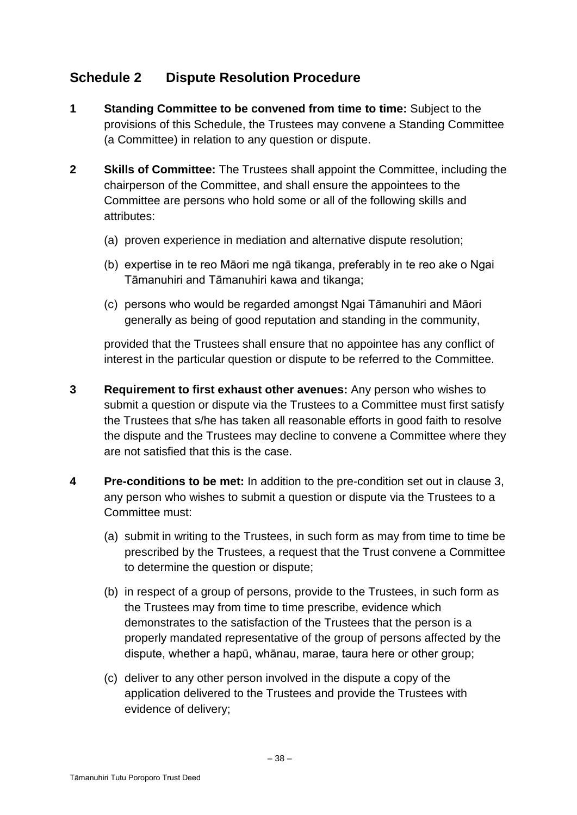# **Schedule 2 Dispute Resolution Procedure**

- **1 Standing Committee to be convened from time to time:** Subject to the provisions of this Schedule, the Trustees may convene a Standing Committee (a Committee) in relation to any question or dispute.
- **2 Skills of Committee:** The Trustees shall appoint the Committee, including the chairperson of the Committee, and shall ensure the appointees to the Committee are persons who hold some or all of the following skills and attributes:
	- (a) proven experience in mediation and alternative dispute resolution;
	- (b) expertise in te reo Māori me ngā tikanga, preferably in te reo ake o Ngai Tāmanuhiri and Tāmanuhiri kawa and tikanga;
	- (c) persons who would be regarded amongst Ngai Tāmanuhiri and Māori generally as being of good reputation and standing in the community,

provided that the Trustees shall ensure that no appointee has any conflict of interest in the particular question or dispute to be referred to the Committee.

- **3 Requirement to first exhaust other avenues:** Any person who wishes to submit a question or dispute via the Trustees to a Committee must first satisfy the Trustees that s/he has taken all reasonable efforts in good faith to resolve the dispute and the Trustees may decline to convene a Committee where they are not satisfied that this is the case.
- **4 Pre-conditions to be met:** In addition to the pre-condition set out in clause 3, any person who wishes to submit a question or dispute via the Trustees to a Committee must:
	- (a) submit in writing to the Trustees, in such form as may from time to time be prescribed by the Trustees, a request that the Trust convene a Committee to determine the question or dispute;
	- (b) in respect of a group of persons, provide to the Trustees, in such form as the Trustees may from time to time prescribe, evidence which demonstrates to the satisfaction of the Trustees that the person is a properly mandated representative of the group of persons affected by the dispute, whether a hapū, whānau, marae, taura here or other group;
	- (c) deliver to any other person involved in the dispute a copy of the application delivered to the Trustees and provide the Trustees with evidence of delivery;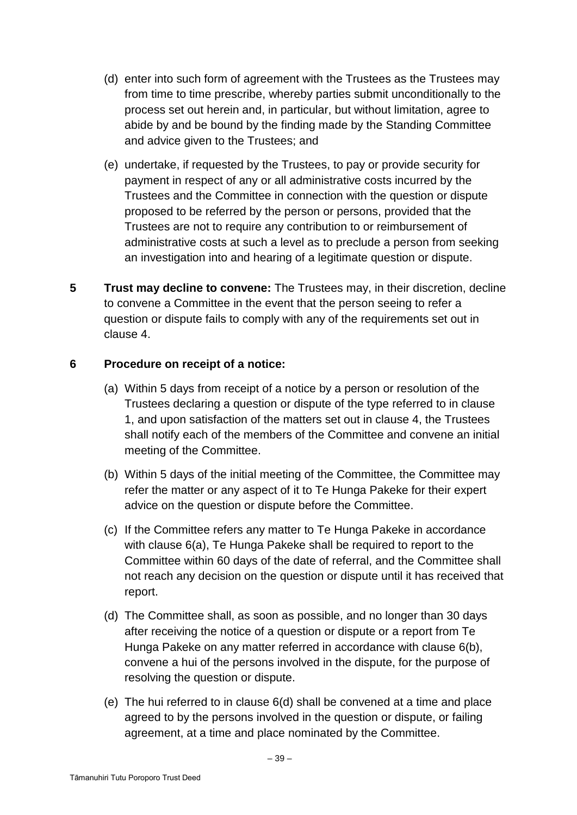- (d) enter into such form of agreement with the Trustees as the Trustees may from time to time prescribe, whereby parties submit unconditionally to the process set out herein and, in particular, but without limitation, agree to abide by and be bound by the finding made by the Standing Committee and advice given to the Trustees; and
- (e) undertake, if requested by the Trustees, to pay or provide security for payment in respect of any or all administrative costs incurred by the Trustees and the Committee in connection with the question or dispute proposed to be referred by the person or persons, provided that the Trustees are not to require any contribution to or reimbursement of administrative costs at such a level as to preclude a person from seeking an investigation into and hearing of a legitimate question or dispute.
- **5 Trust may decline to convene:** The Trustees may, in their discretion, decline to convene a Committee in the event that the person seeing to refer a question or dispute fails to comply with any of the requirements set out in clause 4.

## **6 Procedure on receipt of a notice:**

- (a) Within 5 days from receipt of a notice by a person or resolution of the Trustees declaring a question or dispute of the type referred to in clause 1, and upon satisfaction of the matters set out in clause 4, the Trustees shall notify each of the members of the Committee and convene an initial meeting of the Committee.
- (b) Within 5 days of the initial meeting of the Committee, the Committee may refer the matter or any aspect of it to Te Hunga Pakeke for their expert advice on the question or dispute before the Committee.
- (c) If the Committee refers any matter to Te Hunga Pakeke in accordance with clause 6(a), Te Hunga Pakeke shall be required to report to the Committee within 60 days of the date of referral, and the Committee shall not reach any decision on the question or dispute until it has received that report.
- (d) The Committee shall, as soon as possible, and no longer than 30 days after receiving the notice of a question or dispute or a report from Te Hunga Pakeke on any matter referred in accordance with clause 6(b), convene a hui of the persons involved in the dispute, for the purpose of resolving the question or dispute.
- (e) The hui referred to in clause 6(d) shall be convened at a time and place agreed to by the persons involved in the question or dispute, or failing agreement, at a time and place nominated by the Committee.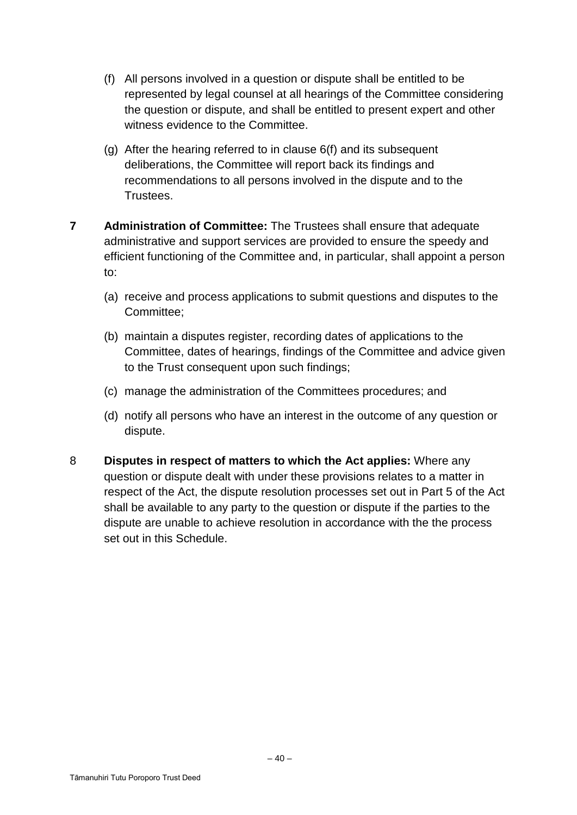- (f) All persons involved in a question or dispute shall be entitled to be represented by legal counsel at all hearings of the Committee considering the question or dispute, and shall be entitled to present expert and other witness evidence to the Committee.
- (g) After the hearing referred to in clause 6(f) and its subsequent deliberations, the Committee will report back its findings and recommendations to all persons involved in the dispute and to the Trustees.
- **7 Administration of Committee:** The Trustees shall ensure that adequate administrative and support services are provided to ensure the speedy and efficient functioning of the Committee and, in particular, shall appoint a person to:
	- (a) receive and process applications to submit questions and disputes to the Committee;
	- (b) maintain a disputes register, recording dates of applications to the Committee, dates of hearings, findings of the Committee and advice given to the Trust consequent upon such findings;
	- (c) manage the administration of the Committees procedures; and
	- (d) notify all persons who have an interest in the outcome of any question or dispute.
- 8 **Disputes in respect of matters to which the Act applies:** Where any question or dispute dealt with under these provisions relates to a matter in respect of the Act, the dispute resolution processes set out in Part 5 of the Act shall be available to any party to the question or dispute if the parties to the dispute are unable to achieve resolution in accordance with the the process set out in this Schedule.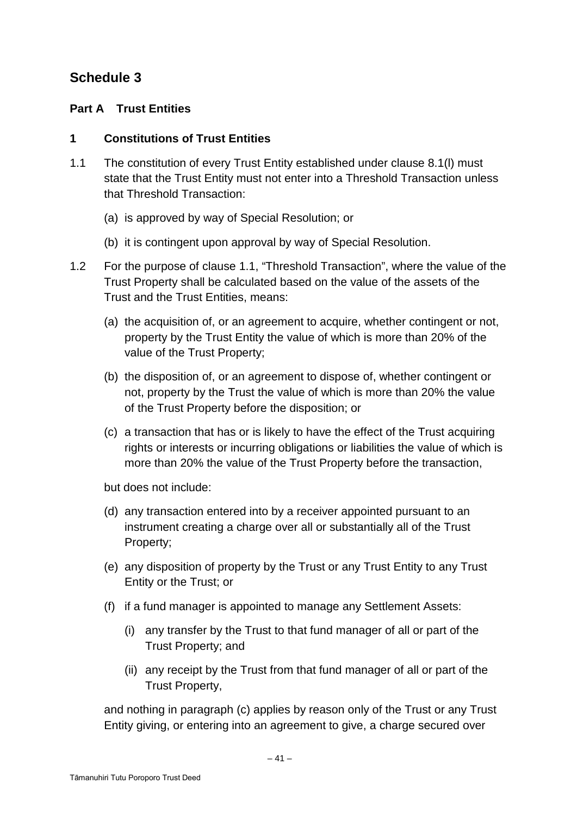# **Schedule 3**

# **Part A Trust Entities**

## **1 Constitutions of Trust Entities**

- 1.1 The constitution of every Trust Entity established under clause 8.1(l) must state that the Trust Entity must not enter into a Threshold Transaction unless that Threshold Transaction:
	- (a) is approved by way of Special Resolution; or
	- (b) it is contingent upon approval by way of Special Resolution.
- 1.2 For the purpose of clause 1.1, "Threshold Transaction", where the value of the Trust Property shall be calculated based on the value of the assets of the Trust and the Trust Entities, means:
	- (a) the acquisition of, or an agreement to acquire, whether contingent or not, property by the Trust Entity the value of which is more than 20% of the value of the Trust Property;
	- (b) the disposition of, or an agreement to dispose of, whether contingent or not, property by the Trust the value of which is more than 20% the value of the Trust Property before the disposition; or
	- (c) a transaction that has or is likely to have the effect of the Trust acquiring rights or interests or incurring obligations or liabilities the value of which is more than 20% the value of the Trust Property before the transaction,

but does not include:

- (d) any transaction entered into by a receiver appointed pursuant to an instrument creating a charge over all or substantially all of the Trust Property;
- (e) any disposition of property by the Trust or any Trust Entity to any Trust Entity or the Trust; or
- (f) if a fund manager is appointed to manage any Settlement Assets:
	- (i) any transfer by the Trust to that fund manager of all or part of the Trust Property; and
	- (ii) any receipt by the Trust from that fund manager of all or part of the Trust Property,

and nothing in paragraph (c) applies by reason only of the Trust or any Trust Entity giving, or entering into an agreement to give, a charge secured over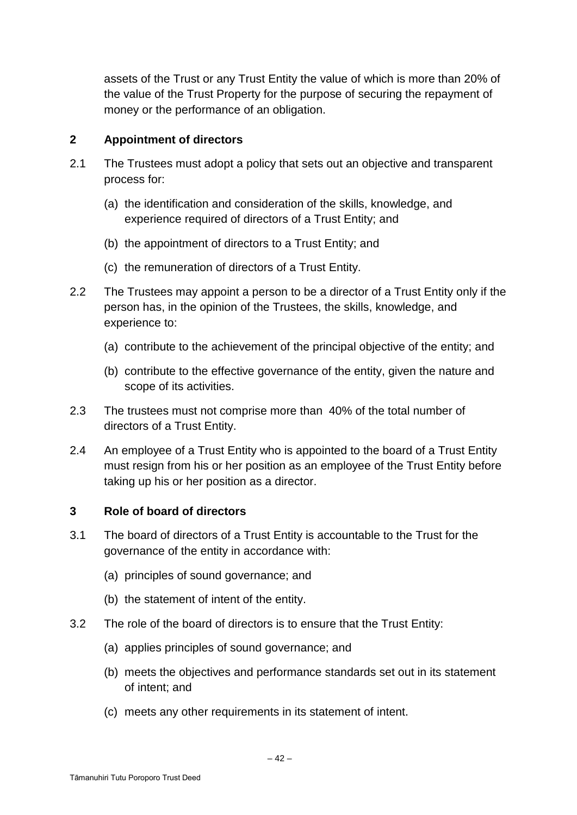assets of the Trust or any Trust Entity the value of which is more than 20% of the value of the Trust Property for the purpose of securing the repayment of money or the performance of an obligation.

## **2 Appointment of directors**

- 2.1 The Trustees must adopt a policy that sets out an objective and transparent process for:
	- (a) the identification and consideration of the skills, knowledge, and experience required of directors of a Trust Entity; and
	- (b) the appointment of directors to a Trust Entity; and
	- (c) the remuneration of directors of a Trust Entity.
- 2.2 The Trustees may appoint a person to be a director of a Trust Entity only if the person has, in the opinion of the Trustees, the skills, knowledge, and experience to:
	- (a) contribute to the achievement of the principal objective of the entity; and
	- (b) contribute to the effective governance of the entity, given the nature and scope of its activities.
- 2.3 The trustees must not comprise more than 40% of the total number of directors of a Trust Entity.
- 2.4 An employee of a Trust Entity who is appointed to the board of a Trust Entity must resign from his or her position as an employee of the Trust Entity before taking up his or her position as a director.

## **3 Role of board of directors**

- 3.1 The board of directors of a Trust Entity is accountable to the Trust for the governance of the entity in accordance with:
	- (a) principles of sound governance; and
	- (b) the statement of intent of the entity.
- 3.2 The role of the board of directors is to ensure that the Trust Entity:
	- (a) applies principles of sound governance; and
	- (b) meets the objectives and performance standards set out in its statement of intent; and
	- (c) meets any other requirements in its statement of intent.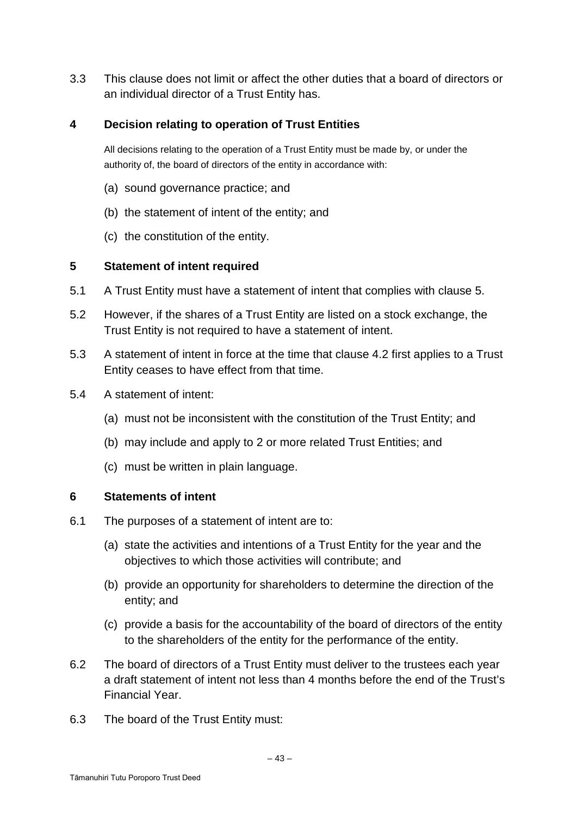3.3 This clause does not limit or affect the other duties that a board of directors or an individual director of a Trust Entity has.

## **4 Decision relating to operation of Trust Entities**

All decisions relating to the operation of a Trust Entity must be made by, or under the authority of, the board of directors of the entity in accordance with:

- (a) sound governance practice; and
- (b) the statement of intent of the entity; and
- (c) the constitution of the entity.

## **5 Statement of intent required**

- 5.1 A Trust Entity must have a statement of intent that complies with clause 5.
- 5.2 However, if the shares of a Trust Entity are listed on a stock exchange, the Trust Entity is not required to have a statement of intent.
- 5.3 A statement of intent in force at the time that clause 4.2 first applies to a Trust Entity ceases to have effect from that time.
- 5.4 A statement of intent:
	- (a) must not be inconsistent with the constitution of the Trust Entity; and
	- (b) may include and apply to 2 or more related Trust Entities; and
	- (c) must be written in plain language.

#### **6 Statements of intent**

- 6.1 The purposes of a statement of intent are to:
	- (a) state the activities and intentions of a Trust Entity for the year and the objectives to which those activities will contribute; and
	- (b) provide an opportunity for shareholders to determine the direction of the entity; and
	- (c) provide a basis for the accountability of the board of directors of the entity to the shareholders of the entity for the performance of the entity.
- 6.2 The board of directors of a Trust Entity must deliver to the trustees each year a draft statement of intent not less than 4 months before the end of the Trust's Financial Year.
- 6.3 The board of the Trust Entity must: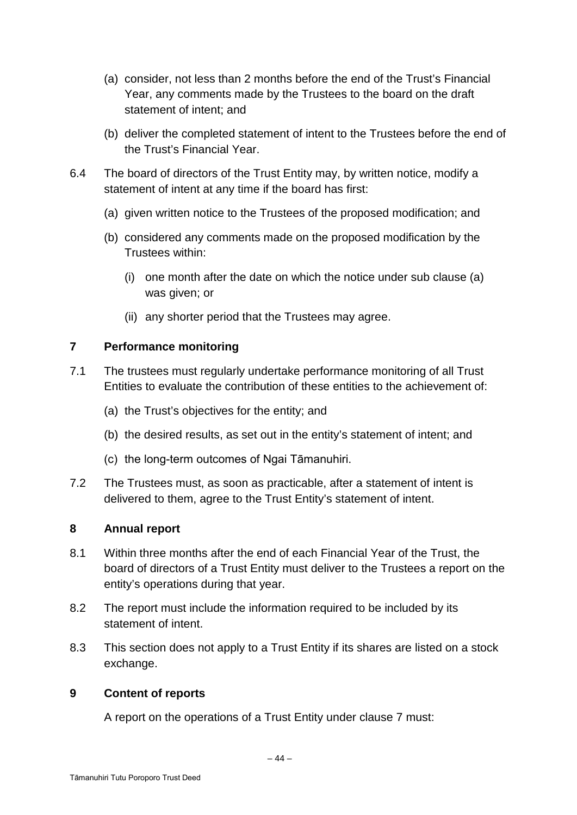- (a) consider, not less than 2 months before the end of the Trust's Financial Year, any comments made by the Trustees to the board on the draft statement of intent; and
- (b) deliver the completed statement of intent to the Trustees before the end of the Trust's Financial Year.
- 6.4 The board of directors of the Trust Entity may, by written notice, modify a statement of intent at any time if the board has first:
	- (a) given written notice to the Trustees of the proposed modification; and
	- (b) considered any comments made on the proposed modification by the Trustees within:
		- (i) one month after the date on which the notice under sub clause (a) was given; or
		- (ii) any shorter period that the Trustees may agree.

# **7 Performance monitoring**

- 7.1 The trustees must regularly undertake performance monitoring of all Trust Entities to evaluate the contribution of these entities to the achievement of:
	- (a) the Trust's objectives for the entity; and
	- (b) the desired results, as set out in the entity's statement of intent; and
	- (c) the long-term outcomes of Ngai Tāmanuhiri.
- 7.2 The Trustees must, as soon as practicable, after a statement of intent is delivered to them, agree to the Trust Entity's statement of intent.

## **8 Annual report**

- 8.1 Within three months after the end of each Financial Year of the Trust, the board of directors of a Trust Entity must deliver to the Trustees a report on the entity's operations during that year.
- 8.2 The report must include the information required to be included by its statement of intent.
- 8.3 This section does not apply to a Trust Entity if its shares are listed on a stock exchange.

# **9 Content of reports**

A report on the operations of a Trust Entity under clause 7 must: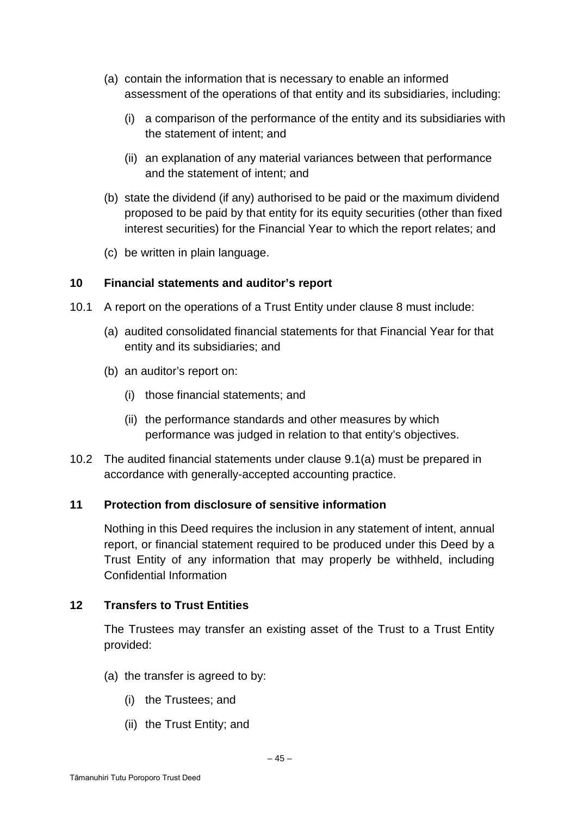- (a) contain the information that is necessary to enable an informed assessment of the operations of that entity and its subsidiaries, including:
	- (i) a comparison of the performance of the entity and its subsidiaries with the statement of intent; and
	- (ii) an explanation of any material variances between that performance and the statement of intent; and
- (b) state the dividend (if any) authorised to be paid or the maximum dividend proposed to be paid by that entity for its equity securities (other than fixed interest securities) for the Financial Year to which the report relates; and
- (c) be written in plain language.

#### **10 Financial statements and auditor's report**

- 10.1 A report on the operations of a Trust Entity under clause 8 must include:
	- (a) audited consolidated financial statements for that Financial Year for that entity and its subsidiaries; and
	- (b) an auditor's report on:
		- (i) those financial statements; and
		- (ii) the performance standards and other measures by which performance was judged in relation to that entity's objectives.
- 10.2 The audited financial statements under clause 9.1(a) must be prepared in accordance with generally-accepted accounting practice.

#### **11 Protection from disclosure of sensitive information**

Nothing in this Deed requires the inclusion in any statement of intent, annual report, or financial statement required to be produced under this Deed by a Trust Entity of any information that may properly be withheld, including Confidential Information

## **12 Transfers to Trust Entities**

The Trustees may transfer an existing asset of the Trust to a Trust Entity provided:

- (a) the transfer is agreed to by:
	- (i) the Trustees; and
	- (ii) the Trust Entity; and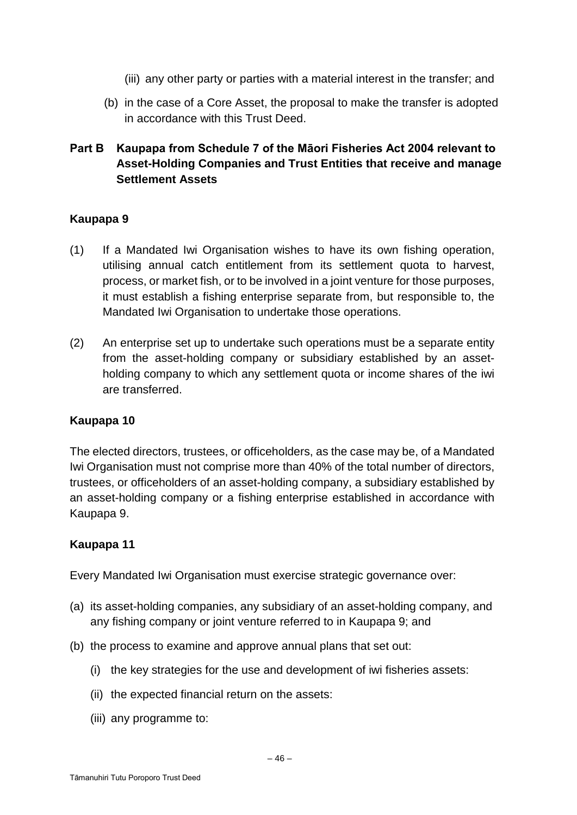- (iii) any other party or parties with a material interest in the transfer; and
- (b) in the case of a Core Asset, the proposal to make the transfer is adopted in accordance with this Trust Deed.

# **Part B Kaupapa from Schedule 7 of the Māori Fisheries Act 2004 relevant to Asset-Holding Companies and Trust Entities that receive and manage Settlement Assets**

# **Kaupapa 9**

- (1) If a Mandated Iwi Organisation wishes to have its own fishing operation, utilising annual catch entitlement from its settlement quota to harvest, process, or market fish, or to be involved in a joint venture for those purposes, it must establish a fishing enterprise separate from, but responsible to, the Mandated Iwi Organisation to undertake those operations.
- (2) An enterprise set up to undertake such operations must be a separate entity from the asset-holding company or subsidiary established by an assetholding company to which any settlement quota or income shares of the iwi are transferred.

## **Kaupapa 10**

The elected directors, trustees, or officeholders, as the case may be, of a Mandated Iwi Organisation must not comprise more than 40% of the total number of directors, trustees, or officeholders of an asset-holding company, a subsidiary established by an asset-holding company or a fishing enterprise established in accordance with Kaupapa 9.

## **Kaupapa 11**

Every Mandated Iwi Organisation must exercise strategic governance over:

- (a) its asset-holding companies, any subsidiary of an asset-holding company, and any fishing company or joint venture referred to in Kaupapa 9; and
- (b) the process to examine and approve annual plans that set out:
	- (i) the key strategies for the use and development of iwi fisheries assets:
	- (ii) the expected financial return on the assets:
	- (iii) any programme to: